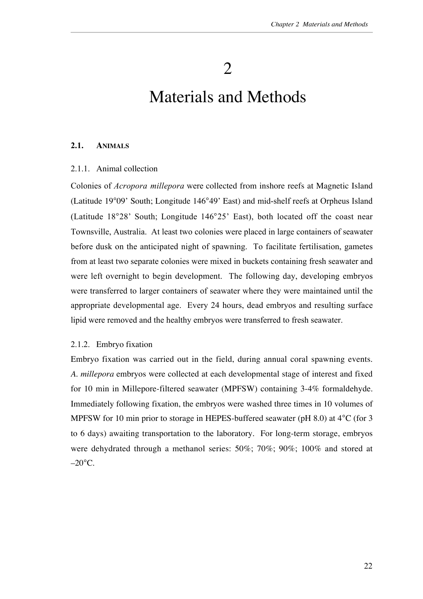2

# Materials and Methods

# **2.1. ANIMALS**

# 2.1.1. Animal collection

Colonies of *Acropora millepora* were collected from inshore reefs at Magnetic Island (Latitude 19 09' South; Longitude 146 49' East) and mid-shelf reefs at Orpheus Island (Latitude 18 28' South; Longitude 146 25' East), both located off the coast near Townsville, Australia. At least two colonies were placed in large containers of seawater before dusk on the anticipated night of spawning. To facilitate fertilisation, gametes from at least two separate colonies were mixed in buckets containing fresh seawater and were left overnight to begin development. The following day, developing embryos were transferred to larger containers of seawater where they were maintained until the appropriate developmental age. Every 24 hours, dead embryos and resulting surface lipid were removed and the healthy embryos were transferred to fresh seawater.

#### 2.1.2. Embryo fixation

Embryo fixation was carried out in the field, during annual coral spawning events. *A. millepora* embryos were collected at each developmental stage of interest and fixed for 10 min in Millepore-filtered seawater (MPFSW) containing 3-4% formaldehyde. Immediately following fixation, the embryos were washed three times in 10 volumes of MPFSW for 10 min prior to storage in HEPES-buffered seawater (pH 8.0) at 4 C (for 3 to 6 days) awaiting transportation to the laboratory. For long-term storage, embryos were dehydrated through a methanol series: 50%; 70%; 90%; 100% and stored at –20 C.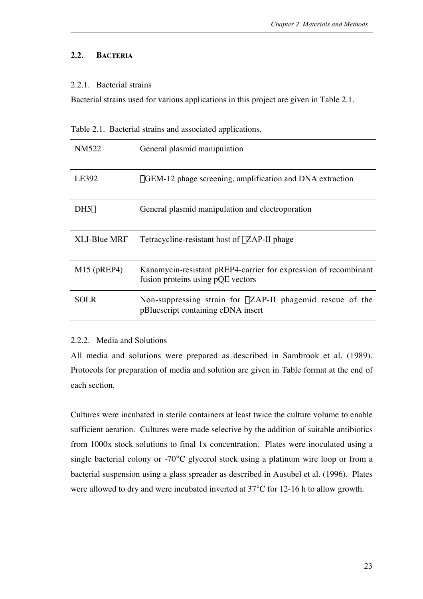# **2.2. BACTERIA**

# 2.2.1. Bacterial strains

Bacterial strains used for various applications in this project are given in Table 2.1.

Table 2.1. Bacterial strains and associated applications.

| NM522               | General plasmid manipulation                                                                             |
|---------------------|----------------------------------------------------------------------------------------------------------|
| LE392               | λGEM-12 phage screening, amplification and DNA extraction                                                |
| DH5 $\alpha$        | General plasmid manipulation and electroporation                                                         |
| <b>XLI-Blue MRF</b> | Tetracycline-resistant host of $\lambda$ ZAP-II phage                                                    |
| $M15$ (pREP4)       | Kanamycin-resistant pREP4-carrier for expression of recombinant<br>fusion proteins using pQE vectors     |
| <b>SOLR</b>         | Non-suppressing strain for $\lambda ZAP-II$ phagemid rescue of the<br>pBluescript containing cDNA insert |

# 2.2.2. Media and Solutions

All media and solutions were prepared as described in Sambrook et al. (1989). Protocols for preparation of media and solution are given in Table format at the end of each section.

Cultures were incubated in sterile containers at least twice the culture volume to enable sufficient aeration. Cultures were made selective by the addition of suitable antibiotics from 1000x stock solutions to final 1x concentration. Plates were inoculated using a single bacterial colony or -70 C glycerol stock using a platinum wire loop or from a bacterial suspension using a glass spreader as described in Ausubel et al. (1996). Plates were allowed to dry and were incubated inverted at 37 C for 12-16 h to allow growth.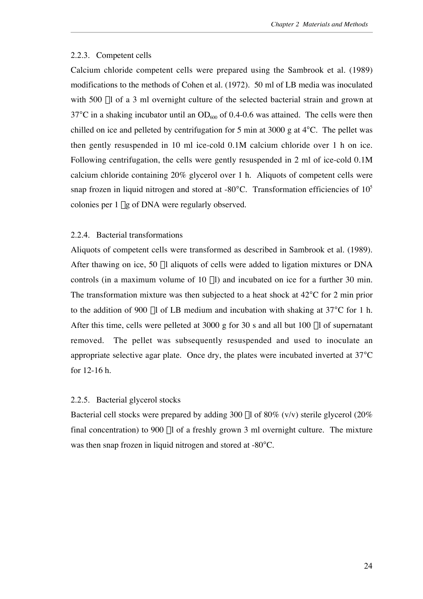## 2.2.3. Competent cells

Calcium chloride competent cells were prepared using the Sambrook et al. (1989) modifications to the methods of Cohen et al. (1972). 50 ml of LB media was inoculated with 500 µl of a 3 ml overnight culture of the selected bacterial strain and grown at 37 C in a shaking incubator until an  $OD<sub>600</sub>$  of 0.4-0.6 was attained. The cells were then chilled on ice and pelleted by centrifugation for 5 min at 3000 g at 4 C. The pellet was then gently resuspended in 10 ml ice-cold 0.1M calcium chloride over 1 h on ice. Following centrifugation, the cells were gently resuspended in 2 ml of ice-cold 0.1M calcium chloride containing 20% glycerol over 1 h. Aliquots of competent cells were snap frozen in liquid nitrogen and stored at -80 C. Transformation efficiencies of  $10<sup>5</sup>$ colonies per 1 µg of DNA were regularly observed.

# 2.2.4. Bacterial transformations

Aliquots of competent cells were transformed as described in Sambrook et al. (1989). After thawing on ice, 50 µl aliquots of cells were added to ligation mixtures or DNA controls (in a maximum volume of  $10 \mu l$ ) and incubated on ice for a further  $30 \mu l$ . The transformation mixture was then subjected to a heat shock at 42 C for 2 min prior to the addition of 900  $\mu$ l of LB medium and incubation with shaking at 37 C for 1 h. After this time, cells were pelleted at  $3000$  g for  $30$  s and all but  $100$   $\mu$ l of supernatant removed. The pellet was subsequently resuspended and used to inoculate an appropriate selective agar plate. Once dry, the plates were incubated inverted at 37 C for 12-16 h.

## 2.2.5. Bacterial glycerol stocks

Bacterial cell stocks were prepared by adding 300  $\mu$ l of 80% (v/v) sterile glycerol (20%) final concentration) to 900  $\mu$ l of a freshly grown 3 ml overnight culture. The mixture was then snap frozen in liquid nitrogen and stored at -80 C.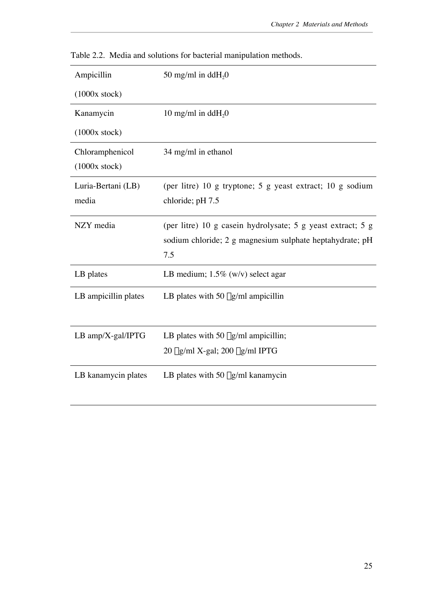| Ampicillin                       | 50 mg/ml in ddH <sub>2</sub> 0                                                                                                 |
|----------------------------------|--------------------------------------------------------------------------------------------------------------------------------|
| (1000x stock)                    |                                                                                                                                |
| Kanamycin                        | 10 mg/ml in dd $H_2$ 0                                                                                                         |
| (1000x stock)                    |                                                                                                                                |
| Chloramphenicol<br>(1000x stock) | 34 mg/ml in ethanol                                                                                                            |
| Luria-Bertani (LB)<br>media      | (per litre) 10 g tryptone; 5 g yeast extract; 10 g sodium<br>chloride; pH 7.5                                                  |
| NZY media                        | (per litre) 10 g casein hydrolysate; 5 g yeast extract; 5 g<br>sodium chloride; 2 g magnesium sulphate heptahydrate; pH<br>7.5 |
| LB plates                        | LB medium; $1.5\%$ (w/v) select agar                                                                                           |
| LB ampicillin plates             | LB plates with 50 $\mu$ g/ml ampicillin                                                                                        |
| LB amp/X-gal/IPTG                | LB plates with 50 $\mu$ g/ml ampicillin;<br>$20 \mu g/ml$ X-gal; $200 \mu g/ml$ IPTG                                           |
| LB kanamycin plates              | LB plates with 50 $\mu$ g/ml kanamycin                                                                                         |

Table 2.2. Media and solutions for bacterial manipulation methods.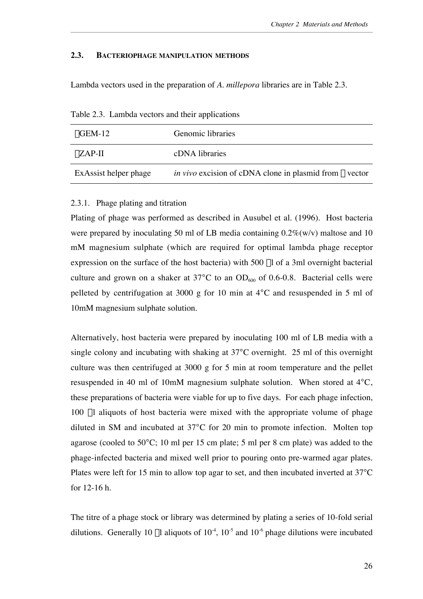# **2.3. BACTERIOPHAGE MANIPULATION METHODS**

Lambda vectors used in the preparation of *A. millepora* libraries are in Table 2.3.

| Tuble 2.5. Earlie at rectors and their applications |                                                                        |  |  |
|-----------------------------------------------------|------------------------------------------------------------------------|--|--|
| $\lambda$ GEM-12                                    | Genomic libraries                                                      |  |  |
| $\lambda ZAP-II$                                    | cDNA libraries                                                         |  |  |
| ExAssist helper phage                               | <i>in vivo</i> excision of cDNA clone in plasmid from $\lambda$ vector |  |  |

Table 2.3. Lambda vectors and their applications

# 2.3.1. Phage plating and titration

Plating of phage was performed as described in Ausubel et al. (1996). Host bacteria were prepared by inoculating 50 ml of LB media containing  $0.2\%$  (w/v) maltose and 10 mM magnesium sulphate (which are required for optimal lambda phage receptor expression on the surface of the host bacteria) with 500 µl of a 3ml overnight bacterial culture and grown on a shaker at 37 C to an  $OD<sub>600</sub>$  of 0.6-0.8. Bacterial cells were pelleted by centrifugation at 3000 g for 10 min at 4 C and resuspended in 5 ml of 10mM magnesium sulphate solution.

Alternatively, host bacteria were prepared by inoculating 100 ml of LB media with a single colony and incubating with shaking at 37 C overnight. 25 ml of this overnight culture was then centrifuged at 3000 g for 5 min at room temperature and the pellet resuspended in 40 ml of 10mM magnesium sulphate solution. When stored at 4 C, these preparations of bacteria were viable for up to five days. For each phage infection, 100 ml aliquots of host bacteria were mixed with the appropriate volume of phage diluted in SM and incubated at 37 C for 20 min to promote infection. Molten top agarose (cooled to 50 C; 10 ml per 15 cm plate; 5 ml per 8 cm plate) was added to the phage-infected bacteria and mixed well prior to pouring onto pre-warmed agar plates. Plates were left for 15 min to allow top agar to set, and then incubated inverted at 37 C for 12-16 h.

The titre of a phage stock or library was determined by plating a series of 10-fold serial dilutions. Generally 10  $\mu$ l aliquots of 10<sup>-4</sup>, 10<sup>-5</sup> and 10<sup>-6</sup> phage dilutions were incubated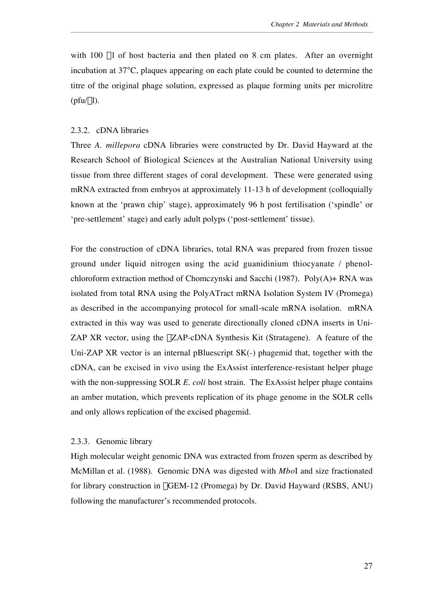with 100 µl of host bacteria and then plated on 8 cm plates. After an overnight incubation at 37 C, plaques appearing on each plate could be counted to determine the titre of the original phage solution, expressed as plaque forming units per microlitre  $(pt(u].$ 

# 2.3.2. cDNA libraries

Three *A. millepora* cDNA libraries were constructed by Dr. David Hayward at the Research School of Biological Sciences at the Australian National University using tissue from three different stages of coral development. These were generated using mRNA extracted from embryos at approximately 11-13 h of development (colloquially known at the 'prawn chip' stage), approximately 96 h post fertilisation ('spindle' or 'pre-settlement' stage) and early adult polyps ('post-settlement' tissue).

For the construction of cDNA libraries, total RNA was prepared from frozen tissue ground under liquid nitrogen using the acid guanidinium thiocyanate / phenolchloroform extraction method of Chomczynski and Sacchi (1987). Poly(A)+ RNA was isolated from total RNA using the PolyATract mRNA Isolation System IV (Promega) as described in the accompanying protocol for small-scale mRNA isolation. mRNA extracted in this way was used to generate directionally cloned cDNA inserts in Uni-ZAP XR vector, using the  $\lambda$ ZAP-cDNA Synthesis Kit (Stratagene). A feature of the Uni-ZAP XR vector is an internal pBluescript SK(-) phagemid that, together with the cDNA, can be excised in vivo using the ExAssist interference-resistant helper phage with the non-suppressing SOLR *E. coli* host strain. The ExAssist helper phage contains an amber mutation, which prevents replication of its phage genome in the SOLR cells and only allows replication of the excised phagemid.

## 2.3.3. Genomic library

High molecular weight genomic DNA was extracted from frozen sperm as described by McMillan et al. (1988). Genomic DNA was digested with *Mbo*I and size fractionated for library construction in λGEM-12 (Promega) by Dr. David Hayward (RSBS, ANU) following the manufacturer's recommended protocols.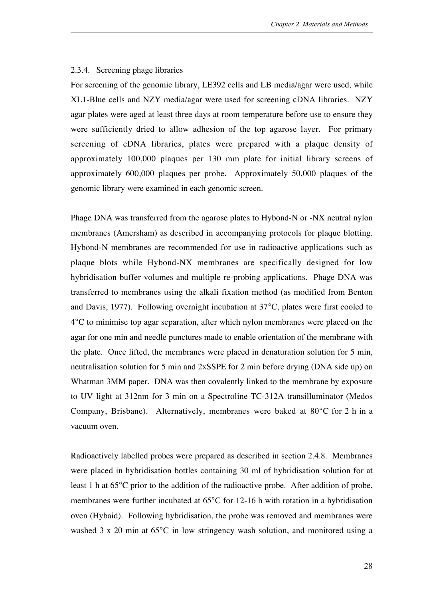## 2.3.4. Screening phage libraries

For screening of the genomic library, LE392 cells and LB media/agar were used, while XL1-Blue cells and NZY media/agar were used for screening cDNA libraries. NZY agar plates were aged at least three days at room temperature before use to ensure they were sufficiently dried to allow adhesion of the top agarose layer. For primary screening of cDNA libraries, plates were prepared with a plaque density of approximately 100,000 plaques per 130 mm plate for initial library screens of approximately 600,000 plaques per probe. Approximately 50,000 plaques of the genomic library were examined in each genomic screen.

Phage DNA was transferred from the agarose plates to Hybond-N or -NX neutral nylon membranes (Amersham) as described in accompanying protocols for plaque blotting. Hybond-N membranes are recommended for use in radioactive applications such as plaque blots while Hybond-NX membranes are specifically designed for low hybridisation buffer volumes and multiple re-probing applications. Phage DNA was transferred to membranes using the alkali fixation method (as modified from Benton and Davis, 1977). Following overnight incubation at 37 C, plates were first cooled to 4 C to minimise top agar separation, after which nylon membranes were placed on the agar for one min and needle punctures made to enable orientation of the membrane with the plate. Once lifted, the membranes were placed in denaturation solution for 5 min, neutralisation solution for 5 min and 2xSSPE for 2 min before drying (DNA side up) on Whatman 3MM paper. DNA was then covalently linked to the membrane by exposure to UV light at 312nm for 3 min on a Spectroline TC-312A transilluminator (Medos Company, Brisbane). Alternatively, membranes were baked at 80 C for 2 h in a vacuum oven.

Radioactively labelled probes were prepared as described in section 2.4.8. Membranes were placed in hybridisation bottles containing 30 ml of hybridisation solution for at least 1 h at 65 C prior to the addition of the radioactive probe. After addition of probe, membranes were further incubated at 65 C for 12-16 h with rotation in a hybridisation oven (Hybaid). Following hybridisation, the probe was removed and membranes were washed 3 x 20 min at 65 C in low stringency wash solution, and monitored using a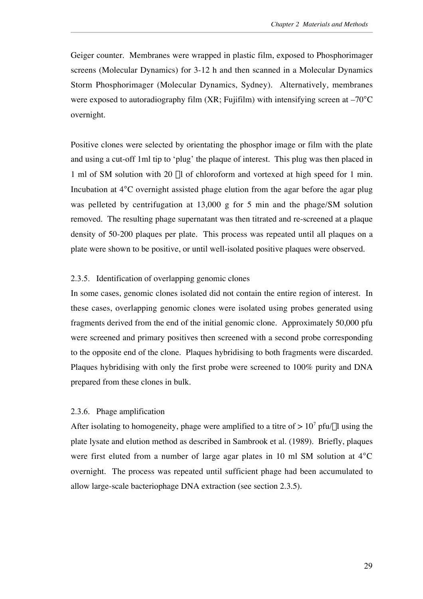Geiger counter. Membranes were wrapped in plastic film, exposed to Phosphorimager screens (Molecular Dynamics) for 3-12 h and then scanned in a Molecular Dynamics Storm Phosphorimager (Molecular Dynamics, Sydney). Alternatively, membranes were exposed to autoradiography film (XR; Fujifilm) with intensifying screen at –70 C overnight.

Positive clones were selected by orientating the phosphor image or film with the plate and using a cut-off 1ml tip to 'plug' the plaque of interest. This plug was then placed in 1 ml of SM solution with 20 µl of chloroform and vortexed at high speed for 1 min. Incubation at 4 C overnight assisted phage elution from the agar before the agar plug was pelleted by centrifugation at 13,000 g for 5 min and the phage/SM solution removed. The resulting phage supernatant was then titrated and re-screened at a plaque density of 50-200 plaques per plate. This process was repeated until all plaques on a plate were shown to be positive, or until well-isolated positive plaques were observed.

# 2.3.5. Identification of overlapping genomic clones

In some cases, genomic clones isolated did not contain the entire region of interest. In these cases, overlapping genomic clones were isolated using probes generated using fragments derived from the end of the initial genomic clone. Approximately 50,000 pfu were screened and primary positives then screened with a second probe corresponding to the opposite end of the clone. Plaques hybridising to both fragments were discarded. Plaques hybridising with only the first probe were screened to 100% purity and DNA prepared from these clones in bulk.

## 2.3.6. Phage amplification

After isolating to homogeneity, phage were amplified to a titre of  $> 10^7$  pfu/ul using the plate lysate and elution method as described in Sambrook et al. (1989). Briefly, plaques were first eluted from a number of large agar plates in 10 ml SM solution at 4 C overnight. The process was repeated until sufficient phage had been accumulated to allow large-scale bacteriophage DNA extraction (see section 2.3.5).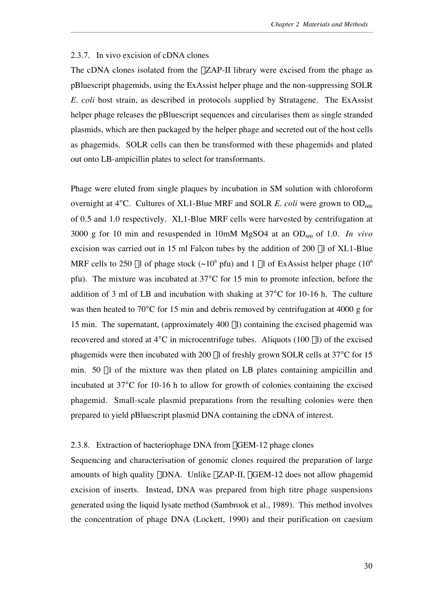## 2.3.7. In vivo excision of cDNA clones

The cDNA clones isolated from the  $\lambda ZAP-II$  library were excised from the phage as pBluescript phagemids, using the ExAssist helper phage and the non-suppressing SOLR *E. coli* host strain, as described in protocols supplied by Stratagene. The ExAssist helper phage releases the pBluescript sequences and circularises them as single stranded plasmids, which are then packaged by the helper phage and secreted out of the host cells as phagemids. SOLR cells can then be transformed with these phagemids and plated out onto LB-ampicillin plates to select for transformants.

Phage were eluted from single plaques by incubation in SM solution with chloroform overnight at 4 C. Cultures of XL1-Blue MRF and SOLR *E. coli* were grown to  $OD<sub>600</sub>$ of 0.5 and 1.0 respectively. XL1-Blue MRF cells were harvested by centrifugation at 3000 g for 10 min and resuspended in 10mM MgSO4 at an  $OD_{600}$  of 1.0. *In vivo* excision was carried out in 15 ml Falcon tubes by the addition of 200 µl of XL1-Blue MRF cells to 250 µl of phage stock ( $\sim 10^6$  pfu) and 1 µl of ExAssist helper phage (10<sup>6</sup>) pfu). The mixture was incubated at 37 C for 15 min to promote infection, before the addition of 3 ml of LB and incubation with shaking at 37 C for 10-16 h. The culture was then heated to 70 C for 15 min and debris removed by centrifugation at 4000 g for 15 min. The supernatant, (approximately  $400 \mu l$ ) containing the excised phagemid was recovered and stored at 4 C in microcentrifuge tubes. Aliquots  $(100 \mu l)$  of the excised phagemids were then incubated with 200 µl of freshly grown SOLR cells at 37 C for 15 min. 50 µl of the mixture was then plated on LB plates containing ampicillin and incubated at 37 C for 10-16 h to allow for growth of colonies containing the excised phagemid. Small-scale plasmid preparations from the resulting colonies were then prepared to yield pBluescript plasmid DNA containing the cDNA of interest.

## 2.3.8. Extraction of bacteriophage DNA from  $\lambda$ GEM-12 phage clones

Sequencing and characterisation of genomic clones required the preparation of large amounts of high quality  $\lambda$ DNA. Unlike  $\lambda$ ZAP-II,  $\lambda$ GEM-12 does not allow phagemid excision of inserts. Instead, DNA was prepared from high titre phage suspensions generated using the liquid lysate method (Sambrook et al., 1989). This method involves the concentration of phage DNA (Lockett, 1990) and their purification on caesium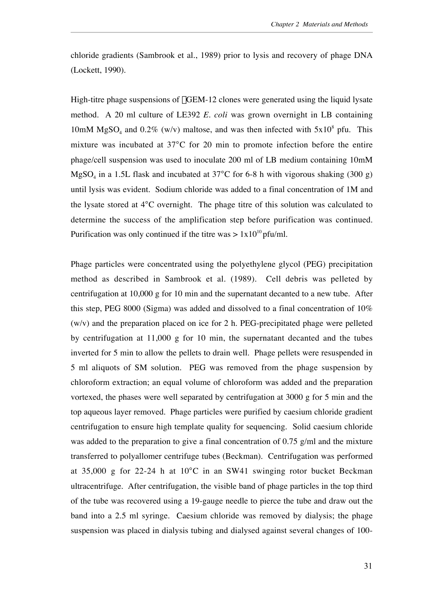chloride gradients (Sambrook et al., 1989) prior to lysis and recovery of phage DNA (Lockett, 1990).

High-titre phage suspensions of  $\lambda$ GEM-12 clones were generated using the liquid lysate method. A 20 ml culture of LE392 *E. coli* was grown overnight in LB containing 10mM MgSO<sub>4</sub> and 0.2% (w/v) maltose, and was then infected with  $5x10^8$  pfu. This mixture was incubated at 37 C for 20 min to promote infection before the entire phage/cell suspension was used to inoculate 200 ml of LB medium containing 10mM  $MgSO<sub>4</sub>$  in a 1.5L flask and incubated at 37 C for 6-8 h with vigorous shaking (300 g) until lysis was evident. Sodium chloride was added to a final concentration of 1M and the lysate stored at 4 C overnight. The phage titre of this solution was calculated to determine the success of the amplification step before purification was continued. Purification was only continued if the titre was  $> 1x10^{10}$  pfu/ml.

Phage particles were concentrated using the polyethylene glycol (PEG) precipitation method as described in Sambrook et al. (1989). Cell debris was pelleted by centrifugation at 10,000 g for 10 min and the supernatant decanted to a new tube. After this step, PEG 8000 (Sigma) was added and dissolved to a final concentration of 10%  $(w/v)$  and the preparation placed on ice for 2 h. PEG-precipitated phage were pelleted by centrifugation at 11,000 g for 10 min, the supernatant decanted and the tubes inverted for 5 min to allow the pellets to drain well. Phage pellets were resuspended in 5 ml aliquots of SM solution. PEG was removed from the phage suspension by chloroform extraction; an equal volume of chloroform was added and the preparation vortexed, the phases were well separated by centrifugation at 3000 g for 5 min and the top aqueous layer removed. Phage particles were purified by caesium chloride gradient centrifugation to ensure high template quality for sequencing. Solid caesium chloride was added to the preparation to give a final concentration of 0.75 g/ml and the mixture transferred to polyallomer centrifuge tubes (Beckman). Centrifugation was performed at 35,000 g for 22-24 h at 10 C in an SW41 swinging rotor bucket Beckman ultracentrifuge. After centrifugation, the visible band of phage particles in the top third of the tube was recovered using a 19-gauge needle to pierce the tube and draw out the band into a 2.5 ml syringe. Caesium chloride was removed by dialysis; the phage suspension was placed in dialysis tubing and dialysed against several changes of 100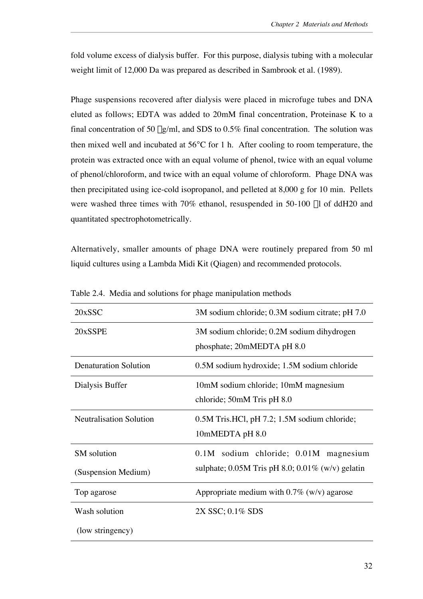fold volume excess of dialysis buffer. For this purpose, dialysis tubing with a molecular weight limit of 12,000 Da was prepared as described in Sambrook et al. (1989).

Phage suspensions recovered after dialysis were placed in microfuge tubes and DNA eluted as follows; EDTA was added to 20mM final concentration, Proteinase K to a final concentration of 50  $\mu$ g/ml, and SDS to 0.5% final concentration. The solution was then mixed well and incubated at 56 C for 1 h. After cooling to room temperature, the protein was extracted once with an equal volume of phenol, twice with an equal volume of phenol/chloroform, and twice with an equal volume of chloroform. Phage DNA was then precipitated using ice-cold isopropanol, and pelleted at 8,000 g for 10 min. Pellets were washed three times with 70% ethanol, resuspended in 50-100 µl of ddH20 and quantitated spectrophotometrically.

Alternatively, smaller amounts of phage DNA were routinely prepared from 50 ml liquid cultures using a Lambda Midi Kit (Qiagen) and recommended protocols.

| 20xSSC                       | 3M sodium chloride; 0.3M sodium citrate; pH 7.0       |
|------------------------------|-------------------------------------------------------|
| 20xSSPE                      | 3M sodium chloride; 0.2M sodium dihydrogen            |
|                              | phosphate; 20mMEDTA pH 8.0                            |
| <b>Denaturation Solution</b> | 0.5M sodium hydroxide; 1.5M sodium chloride           |
| Dialysis Buffer              | 10mM sodium chloride; 10mM magnesium                  |
|                              | chloride; 50mM Tris pH 8.0                            |
| Neutralisation Solution      | 0.5M Tris.HCl, pH 7.2; 1.5M sodium chloride;          |
|                              | 10mMEDTA pH 8.0                                       |
| SM solution                  | 0.1M sodium chloride; 0.01M magnesium                 |
| (Suspension Medium)          | sulphate; $0.05M$ Tris pH 8.0; $0.01\%$ (w/v) gelatin |
| Top agarose                  | Appropriate medium with $0.7\%$ (w/v) agarose         |
| Wash solution                | 2X SSC; 0.1% SDS                                      |
| (low stringency)             |                                                       |

Table 2.4. Media and solutions for phage manipulation methods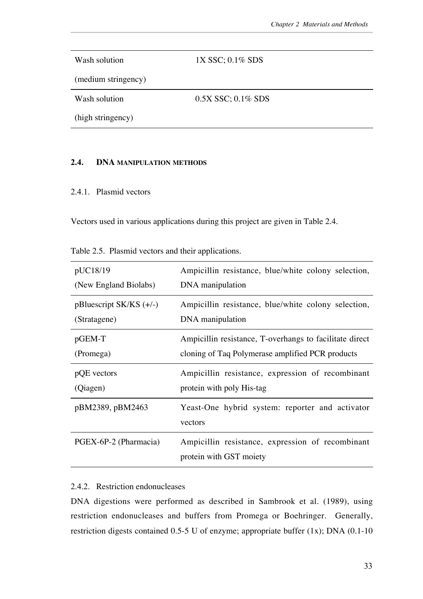Wash solution (medium stringency) 1X SSC; 0.1% SDS Wash solution (high stringency) 0.5X SSC; 0.1% SDS

# **2.4. DNA MANIPULATION METHODS**

# 2.4.1. Plasmid vectors

Vectors used in various applications during this project are given in Table 2.4.

| Table 2.5. Plasmid vectors and their applications. |  |  |  |  |
|----------------------------------------------------|--|--|--|--|
|                                                    |  |  |  |  |

| pUC18/19                  | Ampicillin resistance, blue/white colony selection,        |
|---------------------------|------------------------------------------------------------|
| (New England Biolabs)     | DNA manipulation                                           |
| $pBluescript SK/KS (+/-)$ | Ampicillin resistance, blue/white colony selection,        |
| (Stratagene)              | DNA manipulation                                           |
| $pGEM-T$                  | Ampicillin resistance, T-overhangs to facilitate direct    |
| (Promega)                 | cloning of Taq Polymerase amplified PCR products           |
|                           |                                                            |
| pQE vectors               | Ampicillin resistance, expression of recombinant           |
| (Qiagen)                  | protein with poly His-tag                                  |
| pBM2389, pBM2463          | Yeast-One hybrid system: reporter and activator<br>vectors |

# 2.4.2. Restriction endonucleases

DNA digestions were performed as described in Sambrook et al. (1989), using restriction endonucleases and buffers from Promega or Boehringer. Generally, restriction digests contained 0.5-5 U of enzyme; appropriate buffer (1x); DNA (0.1-10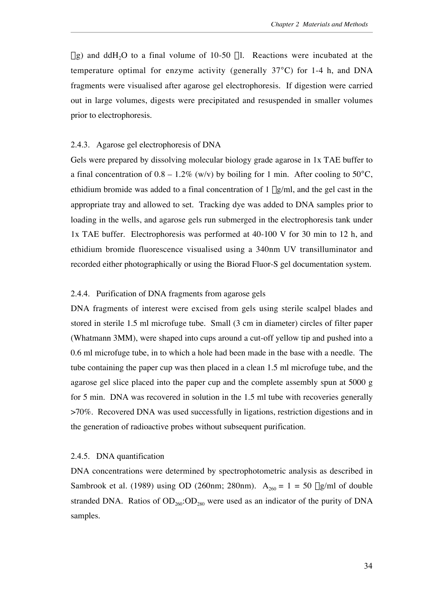$\mu$ g) and ddH<sub>2</sub>O to a final volume of 10-50  $\mu$ l. Reactions were incubated at the temperature optimal for enzyme activity (generally 37 C) for 1-4 h, and DNA fragments were visualised after agarose gel electrophoresis. If digestion were carried out in large volumes, digests were precipitated and resuspended in smaller volumes prior to electrophoresis.

## 2.4.3. Agarose gel electrophoresis of DNA

Gels were prepared by dissolving molecular biology grade agarose in 1x TAE buffer to a final concentration of  $0.8 - 1.2\%$  (w/v) by boiling for 1 min. After cooling to 50 C, ethidium bromide was added to a final concentration of  $1 \mu g/ml$ , and the gel cast in the appropriate tray and allowed to set. Tracking dye was added to DNA samples prior to loading in the wells, and agarose gels run submerged in the electrophoresis tank under 1x TAE buffer. Electrophoresis was performed at 40-100 V for 30 min to 12 h, and ethidium bromide fluorescence visualised using a 340nm UV transilluminator and recorded either photographically or using the Biorad Fluor-S gel documentation system.

## 2.4.4. Purification of DNA fragments from agarose gels

DNA fragments of interest were excised from gels using sterile scalpel blades and stored in sterile 1.5 ml microfuge tube. Small (3 cm in diameter) circles of filter paper (Whatmann 3MM), were shaped into cups around a cut-off yellow tip and pushed into a 0.6 ml microfuge tube, in to which a hole had been made in the base with a needle. The tube containing the paper cup was then placed in a clean 1.5 ml microfuge tube, and the agarose gel slice placed into the paper cup and the complete assembly spun at 5000 g for 5 min. DNA was recovered in solution in the 1.5 ml tube with recoveries generally >70%. Recovered DNA was used successfully in ligations, restriction digestions and in the generation of radioactive probes without subsequent purification.

# 2.4.5. DNA quantification

DNA concentrations were determined by spectrophotometric analysis as described in Sambrook et al. (1989) using OD (260nm; 280nm).  $A_{260} = 1 = 50$  ug/ml of double stranded DNA. Ratios of  $OD_{260}$ : $OD_{280}$  were used as an indicator of the purity of DNA samples.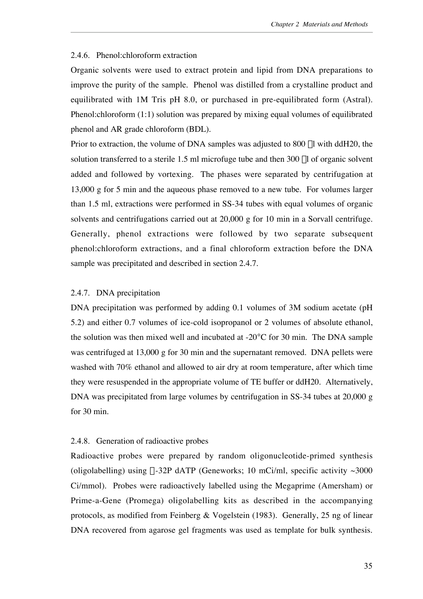## 2.4.6. Phenol:chloroform extraction

Organic solvents were used to extract protein and lipid from DNA preparations to improve the purity of the sample. Phenol was distilled from a crystalline product and equilibrated with 1M Tris pH 8.0, or purchased in pre-equilibrated form (Astral). Phenol:chloroform (1:1) solution was prepared by mixing equal volumes of equilibrated phenol and AR grade chloroform (BDL).

Prior to extraction, the volume of DNA samples was adjusted to 800 µl with ddH20, the solution transferred to a sterile  $1.5$  ml microfuge tube and then  $300 \mu$ l of organic solvent added and followed by vortexing. The phases were separated by centrifugation at 13,000 g for 5 min and the aqueous phase removed to a new tube. For volumes larger than 1.5 ml, extractions were performed in SS-34 tubes with equal volumes of organic solvents and centrifugations carried out at 20,000 g for 10 min in a Sorvall centrifuge. Generally, phenol extractions were followed by two separate subsequent phenol:chloroform extractions, and a final chloroform extraction before the DNA sample was precipitated and described in section 2.4.7.

# 2.4.7. DNA precipitation

DNA precipitation was performed by adding 0.1 volumes of 3M sodium acetate (pH 5.2) and either 0.7 volumes of ice-cold isopropanol or 2 volumes of absolute ethanol, the solution was then mixed well and incubated at -20 C for 30 min. The DNA sample was centrifuged at 13,000 g for 30 min and the supernatant removed. DNA pellets were washed with 70% ethanol and allowed to air dry at room temperature, after which time they were resuspended in the appropriate volume of TE buffer or ddH20. Alternatively, DNA was precipitated from large volumes by centrifugation in SS-34 tubes at 20,000 g for 30 min.

# 2.4.8. Generation of radioactive probes

Radioactive probes were prepared by random oligonucleotide-primed synthesis (oligolabelling) using  $\alpha$ -32P dATP (Geneworks; 10 mCi/ml, specific activity  $\sim$ 3000 Ci/mmol). Probes were radioactively labelled using the Megaprime (Amersham) or Prime-a-Gene (Promega) oligolabelling kits as described in the accompanying protocols, as modified from Feinberg & Vogelstein (1983). Generally, 25 ng of linear DNA recovered from agarose gel fragments was used as template for bulk synthesis.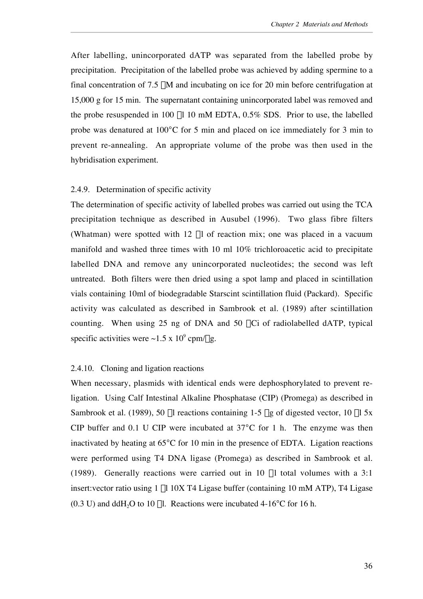After labelling, unincorporated dATP was separated from the labelled probe by precipitation. Precipitation of the labelled probe was achieved by adding spermine to a final concentration of  $7.5 \mu M$  and incubating on ice for 20 min before centrifugation at 15,000 g for 15 min. The supernatant containing unincorporated label was removed and the probe resuspended in 100 µl 10 mM EDTA, 0.5% SDS. Prior to use, the labelled probe was denatured at 100 C for 5 min and placed on ice immediately for 3 min to prevent re-annealing. An appropriate volume of the probe was then used in the hybridisation experiment.

#### 2.4.9. Determination of specific activity

The determination of specific activity of labelled probes was carried out using the TCA precipitation technique as described in Ausubel (1996). Two glass fibre filters (Whatman) were spotted with  $12$   $\mu$ l of reaction mix; one was placed in a vacuum manifold and washed three times with 10 ml 10% trichloroacetic acid to precipitate labelled DNA and remove any unincorporated nucleotides; the second was left untreated. Both filters were then dried using a spot lamp and placed in scintillation vials containing 10ml of biodegradable Starscint scintillation fluid (Packard). Specific activity was calculated as described in Sambrook et al. (1989) after scintillation counting. When using 25 ng of DNA and 50  $\mu$ Ci of radiolabelled dATP, typical specific activities were  $\sim$ 1.5 x 10<sup>9</sup> cpm/ $\mu$ g.

# 2.4.10. Cloning and ligation reactions

When necessary, plasmids with identical ends were dephosphorylated to prevent religation. Using Calf Intestinal Alkaline Phosphatase (CIP) (Promega) as described in Sambrook et al. (1989), 50  $\mu$ l reactions containing 1-5  $\mu$ g of digested vector, 10  $\mu$ l 5x CIP buffer and 0.1 U CIP were incubated at 37 C for 1 h. The enzyme was then inactivated by heating at 65 C for 10 min in the presence of EDTA. Ligation reactions were performed using T4 DNA ligase (Promega) as described in Sambrook et al. (1989). Generally reactions were carried out in 10  $\mu$ l total volumes with a 3:1 insert: vector ratio using  $1 \mu 10X$  T4 Ligase buffer (containing 10 mM ATP), T4 Ligase  $(0.3 \text{ U})$  and ddH<sub>2</sub>O to 10 µl. Reactions were incubated 4-16 C for 16 h.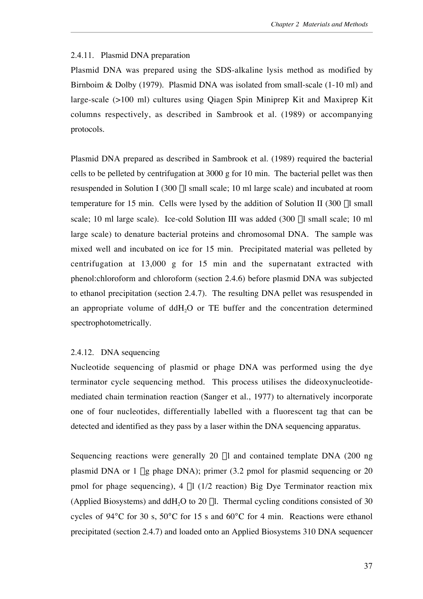## 2.4.11. Plasmid DNA preparation

Plasmid DNA was prepared using the SDS-alkaline lysis method as modified by Birnboim & Dolby (1979). Plasmid DNA was isolated from small-scale (1-10 ml) and large-scale (>100 ml) cultures using Qiagen Spin Miniprep Kit and Maxiprep Kit columns respectively, as described in Sambrook et al. (1989) or accompanying protocols.

Plasmid DNA prepared as described in Sambrook et al. (1989) required the bacterial cells to be pelleted by centrifugation at 3000 g for 10 min. The bacterial pellet was then resuspended in Solution I (300 µl small scale; 10 ml large scale) and incubated at room temperature for 15 min. Cells were lysed by the addition of Solution II (300  $\mu$ l small scale; 10 ml large scale). Ice-cold Solution III was added (300 µl small scale; 10 ml large scale) to denature bacterial proteins and chromosomal DNA. The sample was mixed well and incubated on ice for 15 min. Precipitated material was pelleted by centrifugation at 13,000 g for 15 min and the supernatant extracted with phenol:chloroform and chloroform (section 2.4.6) before plasmid DNA was subjected to ethanol precipitation (section 2.4.7). The resulting DNA pellet was resuspended in an appropriate volume of  $ddH<sub>2</sub>O$  or TE buffer and the concentration determined spectrophotometrically.

# 2.4.12. DNA sequencing

Nucleotide sequencing of plasmid or phage DNA was performed using the dye terminator cycle sequencing method. This process utilises the dideoxynucleotidemediated chain termination reaction (Sanger et al., 1977) to alternatively incorporate one of four nucleotides, differentially labelled with a fluorescent tag that can be detected and identified as they pass by a laser within the DNA sequencing apparatus.

Sequencing reactions were generally 20 µl and contained template DNA (200 ng) plasmid DNA or 1 mg phage DNA); primer (3.2 pmol for plasmid sequencing or 20 pmol for phage sequencing), 4  $\mu$ l (1/2 reaction) Big Dye Terminator reaction mix (Applied Biosystems) and ddH<sub>2</sub>O to 20  $\mu$ l. Thermal cycling conditions consisted of 30 cycles of 94 C for 30 s, 50 C for 15 s and 60 C for 4 min. Reactions were ethanol precipitated (section 2.4.7) and loaded onto an Applied Biosystems 310 DNA sequencer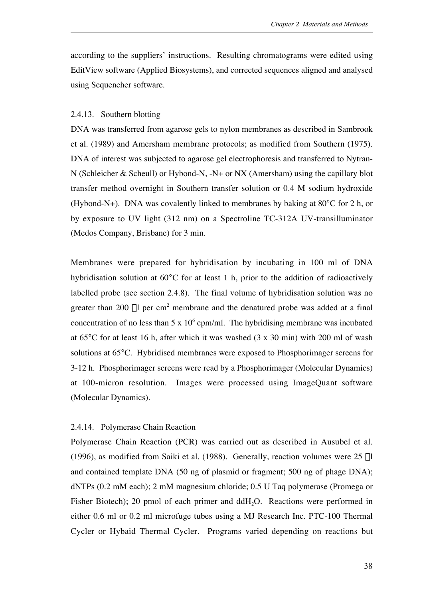according to the suppliers' instructions. Resulting chromatograms were edited using EditView software (Applied Biosystems), and corrected sequences aligned and analysed using Sequencher software.

## 2.4.13. Southern blotting

DNA was transferred from agarose gels to nylon membranes as described in Sambrook et al. (1989) and Amersham membrane protocols; as modified from Southern (1975). DNA of interest was subjected to agarose gel electrophoresis and transferred to Nytran-N (Schleicher & Scheull) or Hybond-N, -N+ or NX (Amersham) using the capillary blot transfer method overnight in Southern transfer solution or 0.4 M sodium hydroxide (Hybond-N+). DNA was covalently linked to membranes by baking at 80 C for 2 h, or by exposure to UV light (312 nm) on a Spectroline TC-312A UV-transilluminator (Medos Company, Brisbane) for 3 min.

Membranes were prepared for hybridisation by incubating in 100 ml of DNA hybridisation solution at 60 C for at least 1 h, prior to the addition of radioactively labelled probe (see section 2.4.8). The final volume of hybridisation solution was no greater than 200  $\mu$ l per cm<sup>2</sup> membrane and the denatured probe was added at a final concentration of no less than  $5 \times 10^6$  cpm/ml. The hybridising membrane was incubated at 65 C for at least 16 h, after which it was washed (3 x 30 min) with 200 ml of wash solutions at 65 C. Hybridised membranes were exposed to Phosphorimager screens for 3-12 h. Phosphorimager screens were read by a Phosphorimager (Molecular Dynamics) at 100-micron resolution. Images were processed using ImageQuant software (Molecular Dynamics).

# 2.4.14. Polymerase Chain Reaction

Polymerase Chain Reaction (PCR) was carried out as described in Ausubel et al. (1996), as modified from Saiki et al. (1988). Generally, reaction volumes were  $25 \mu$ l and contained template DNA (50 ng of plasmid or fragment; 500 ng of phage DNA); dNTPs (0.2 mM each); 2 mM magnesium chloride; 0.5 U Taq polymerase (Promega or Fisher Biotech); 20 pmol of each primer and ddH<sub>2</sub>O. Reactions were performed in either 0.6 ml or 0.2 ml microfuge tubes using a MJ Research Inc. PTC-100 Thermal Cycler or Hybaid Thermal Cycler. Programs varied depending on reactions but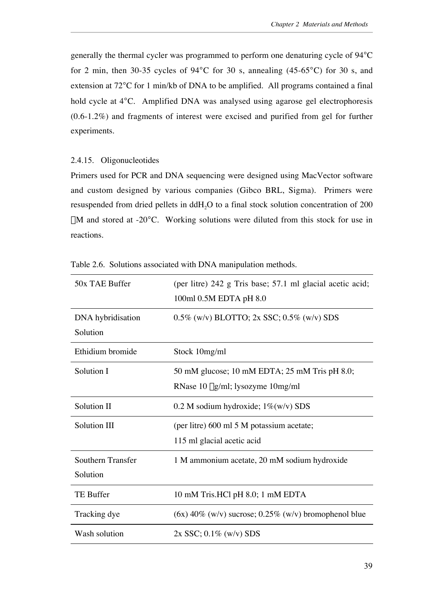generally the thermal cycler was programmed to perform one denaturing cycle of 94 C for 2 min, then 30-35 cycles of 94 C for 30 s, annealing (45-65 C) for 30 s, and extension at 72 C for 1 min/kb of DNA to be amplified. All programs contained a final hold cycle at 4 C. Amplified DNA was analysed using agarose gel electrophoresis (0.6-1.2%) and fragments of interest were excised and purified from gel for further experiments.

2.4.15. Oligonucleotides

Primers used for PCR and DNA sequencing were designed using MacVector software and custom designed by various companies (Gibco BRL, Sigma). Primers were resuspended from dried pellets in  $ddH<sub>2</sub>O$  to a final stock solution concentration of 200  $\mu$ M and stored at -20 C. Working solutions were diluted from this stock for use in reactions.

| 50x TAE Buffer                | (per litre) 242 g Tris base; 57.1 ml glacial acetic acid;<br>100ml 0.5M EDTA pH 8.0 |
|-------------------------------|-------------------------------------------------------------------------------------|
| DNA hybridisation<br>Solution | $0.5\%$ (w/v) BLOTTO; 2x SSC; 0.5% (w/v) SDS                                        |
| Ethidium bromide              | Stock 10mg/ml                                                                       |
| Solution I                    | 50 mM glucose; 10 mM EDTA; 25 mM Tris pH 8.0;<br>RNase 10 µg/ml; lysozyme 10mg/ml   |
| Solution II                   | 0.2 M sodium hydroxide; $1\%$ (w/v) SDS                                             |
| <b>Solution III</b>           | (per litre) 600 ml 5 M potassium acetate;<br>115 ml glacial acetic acid             |
| Southern Transfer<br>Solution | 1 M ammonium acetate, 20 mM sodium hydroxide                                        |
| <b>TE Buffer</b>              | 10 mM Tris.HCl pH 8.0; 1 mM EDTA                                                    |
| Tracking dye                  | $(6x)$ 40% (w/v) sucrose; 0.25% (w/v) bromophenol blue                              |
| Wash solution                 | $2x$ SSC; 0.1% (w/v) SDS                                                            |

Table 2.6. Solutions associated with DNA manipulation methods.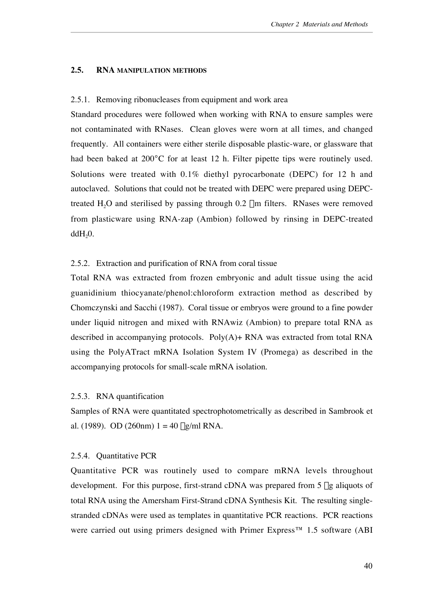## **2.5. RNA MANIPULATION METHODS**

#### 2.5.1. Removing ribonucleases from equipment and work area

Standard procedures were followed when working with RNA to ensure samples were not contaminated with RNases. Clean gloves were worn at all times, and changed frequently. All containers were either sterile disposable plastic-ware, or glassware that had been baked at 200 C for at least 12 h. Filter pipette tips were routinely used. Solutions were treated with 0.1% diethyl pyrocarbonate (DEPC) for 12 h and autoclaved. Solutions that could not be treated with DEPC were prepared using DEPCtreated  $H<sub>2</sub>O$  and sterilised by passing through 0.2  $\mu$ m filters. RNases were removed from plasticware using RNA-zap (Ambion) followed by rinsing in DEPC-treated  $ddH<sub>2</sub>0.$ 

## 2.5.2. Extraction and purification of RNA from coral tissue

Total RNA was extracted from frozen embryonic and adult tissue using the acid guanidinium thiocyanate/phenol:chloroform extraction method as described by Chomczynski and Sacchi (1987). Coral tissue or embryos were ground to a fine powder under liquid nitrogen and mixed with RNAwiz (Ambion) to prepare total RNA as described in accompanying protocols.  $Poly(A)$ + RNA was extracted from total RNA using the PolyATract mRNA Isolation System IV (Promega) as described in the accompanying protocols for small-scale mRNA isolation.

## 2.5.3. RNA quantification

Samples of RNA were quantitated spectrophotometrically as described in Sambrook et al. (1989). OD (260nm)  $1 = 40 \mu g/ml RNA$ .

# 2.5.4. Quantitative PCR

Quantitative PCR was routinely used to compare mRNA levels throughout development. For this purpose, first-strand cDNA was prepared from  $5 \mu$ g aliquots of total RNA using the Amersham First-Strand cDNA Synthesis Kit. The resulting singlestranded cDNAs were used as templates in quantitative PCR reactions. PCR reactions were carried out using primers designed with Primer Express<sup>™</sup> 1.5 software (ABI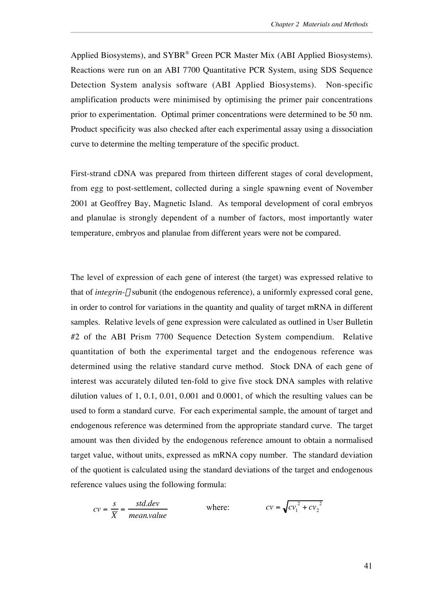Applied Biosystems), and SYBR® Green PCR Master Mix (ABI Applied Biosystems). Reactions were run on an ABI 7700 Quantitative PCR System, using SDS Sequence Detection System analysis software (ABI Applied Biosystems). Non-specific amplification products were minimised by optimising the primer pair concentrations prior to experimentation. Optimal primer concentrations were determined to be 50 nm. Product specificity was also checked after each experimental assay using a dissociation curve to determine the melting temperature of the specific product.

First-strand cDNA was prepared from thirteen different stages of coral development, from egg to post-settlement, collected during a single spawning event of November 2001 at Geoffrey Bay, Magnetic Island. As temporal development of coral embryos and planulae is strongly dependent of a number of factors, most importantly water temperature, embryos and planulae from different years were not be compared.

The level of expression of each gene of interest (the target) was expressed relative to that of *integrin-*b subunit (the endogenous reference), a uniformly expressed coral gene, in order to control for variations in the quantity and quality of target mRNA in different samples. Relative levels of gene expression were calculated as outlined in User Bulletin #2 of the ABI Prism 7700 Sequence Detection System compendium. Relative quantitation of both the experimental target and the endogenous reference was determined using the relative standard curve method. Stock DNA of each gene of interest was accurately diluted ten-fold to give five stock DNA samples with relative dilution values of 1, 0.1, 0.01, 0.001 and 0.0001, of which the resulting values can be used to form a standard curve. For each experimental sample, the amount of target and endogenous reference was determined from the appropriate standard curve. The target amount was then divided by the endogenous reference amount to obtain a normalised target value, without units, expressed as mRNA copy number. The standard deviation of the quotient is calculated using the standard deviations of the target and endogenous reference values using the following formula:

$$
cv = \frac{s}{\overline{X}} = \frac{std.dev}{mean.value}
$$
 where: 
$$
cv = \sqrt{cv_1^2 + cv_2^2}
$$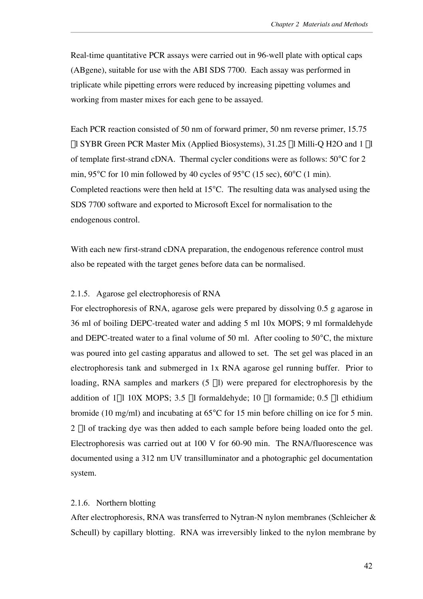Real-time quantitative PCR assays were carried out in 96-well plate with optical caps (ABgene), suitable for use with the ABI SDS 7700. Each assay was performed in triplicate while pipetting errors were reduced by increasing pipetting volumes and working from master mixes for each gene to be assayed.

Each PCR reaction consisted of 50 nm of forward primer, 50 nm reverse primer, 15.75  $\mu$ l SYBR Green PCR Master Mix (Applied Biosystems), 31.25  $\mu$ l Milli-Q H2O and 1  $\mu$ l of template first-strand cDNA. Thermal cycler conditions were as follows: 50 C for 2 min, 95 C for 10 min followed by 40 cycles of 95 C (15 sec), 60 C (1 min). Completed reactions were then held at 15 C. The resulting data was analysed using the SDS 7700 software and exported to Microsoft Excel for normalisation to the endogenous control.

With each new first-strand cDNA preparation, the endogenous reference control must also be repeated with the target genes before data can be normalised.

## 2.1.5. Agarose gel electrophoresis of RNA

For electrophoresis of RNA, agarose gels were prepared by dissolving 0.5 g agarose in 36 ml of boiling DEPC-treated water and adding 5 ml 10x MOPS; 9 ml formaldehyde and DEPC-treated water to a final volume of 50 ml. After cooling to 50 C, the mixture was poured into gel casting apparatus and allowed to set. The set gel was placed in an electrophoresis tank and submerged in 1x RNA agarose gel running buffer. Prior to loading, RNA samples and markers  $(5 \mu l)$  were prepared for electrophoresis by the addition of  $1\mu$ l 10X MOPS; 3.5  $\mu$ l formaldehyde; 10  $\mu$ l formamide; 0.5  $\mu$ l ethidium bromide (10 mg/ml) and incubating at 65 C for 15 min before chilling on ice for 5 min. 2 ml of tracking dye was then added to each sample before being loaded onto the gel. Electrophoresis was carried out at 100 V for 60-90 min. The RNA/fluorescence was documented using a 312 nm UV transilluminator and a photographic gel documentation system.

# 2.1.6. Northern blotting

After electrophoresis, RNA was transferred to Nytran-N nylon membranes (Schleicher & Scheull) by capillary blotting. RNA was irreversibly linked to the nylon membrane by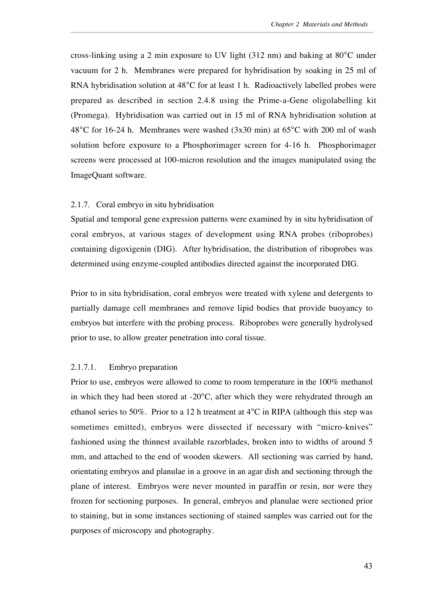cross-linking using a 2 min exposure to UV light (312 nm) and baking at 80 C under vacuum for 2 h. Membranes were prepared for hybridisation by soaking in 25 ml of RNA hybridisation solution at 48 C for at least 1 h. Radioactively labelled probes were prepared as described in section 2.4.8 using the Prime-a-Gene oligolabelling kit (Promega). Hybridisation was carried out in 15 ml of RNA hybridisation solution at 48 C for 16-24 h. Membranes were washed (3x30 min) at 65 C with 200 ml of wash solution before exposure to a Phosphorimager screen for 4-16 h. Phosphorimager screens were processed at 100-micron resolution and the images manipulated using the ImageQuant software.

## 2.1.7. Coral embryo in situ hybridisation

Spatial and temporal gene expression patterns were examined by in situ hybridisation of coral embryos, at various stages of development using RNA probes (riboprobes) containing digoxigenin (DIG). After hybridisation, the distribution of riboprobes was determined using enzyme-coupled antibodies directed against the incorporated DIG.

Prior to in situ hybridisation, coral embryos were treated with xylene and detergents to partially damage cell membranes and remove lipid bodies that provide buoyancy to embryos but interfere with the probing process. Riboprobes were generally hydrolysed prior to use, to allow greater penetration into coral tissue.

# 2.1.7.1. Embryo preparation

Prior to use, embryos were allowed to come to room temperature in the 100% methanol in which they had been stored at -20 C, after which they were rehydrated through an ethanol series to 50%. Prior to a 12 h treatment at 4 C in RIPA (although this step was sometimes emitted), embryos were dissected if necessary with "micro-knives" fashioned using the thinnest available razorblades, broken into to widths of around 5 mm, and attached to the end of wooden skewers. All sectioning was carried by hand, orientating embryos and planulae in a groove in an agar dish and sectioning through the plane of interest. Embryos were never mounted in paraffin or resin, nor were they frozen for sectioning purposes. In general, embryos and planulae were sectioned prior to staining, but in some instances sectioning of stained samples was carried out for the purposes of microscopy and photography.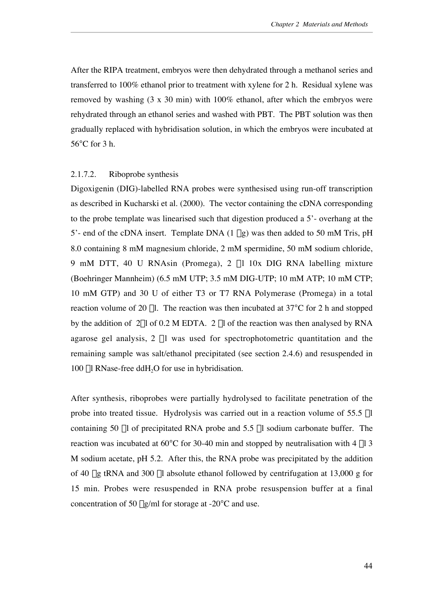After the RIPA treatment, embryos were then dehydrated through a methanol series and transferred to 100% ethanol prior to treatment with xylene for 2 h. Residual xylene was removed by washing (3 x 30 min) with 100% ethanol, after which the embryos were rehydrated through an ethanol series and washed with PBT. The PBT solution was then gradually replaced with hybridisation solution, in which the embryos were incubated at 56 C for 3 h.

#### 2.1.7.2. Riboprobe synthesis

Digoxigenin (DIG)-labelled RNA probes were synthesised using run-off transcription as described in Kucharski et al. (2000). The vector containing the cDNA corresponding to the probe template was linearised such that digestion produced a 5'- overhang at the 5'- end of the cDNA insert. Template DNA (1 mg) was then added to 50 mM Tris, pH 8.0 containing 8 mM magnesium chloride, 2 mM spermidine, 50 mM sodium chloride, 9 mM DTT, 40 U RNAsin (Promega), 2 ml 10x DIG RNA labelling mixture (Boehringer Mannheim) (6.5 mM UTP; 3.5 mM DIG-UTP; 10 mM ATP; 10 mM CTP; 10 mM GTP) and 30 U of either T3 or T7 RNA Polymerase (Promega) in a total reaction volume of 20  $\mu$ l. The reaction was then incubated at 37 C for 2 h and stopped by the addition of  $2\mu$ l of 0.2 M EDTA. 2  $\mu$ l of the reaction was then analysed by RNA agarose gel analysis,  $2 \mu l$  was used for spectrophotometric quantitation and the remaining sample was salt/ethanol precipitated (see section 2.4.6) and resuspended in 100  $\mu$ l RNase-free ddH<sub>2</sub>O for use in hybridisation.

After synthesis, riboprobes were partially hydrolysed to facilitate penetration of the probe into treated tissue. Hydrolysis was carried out in a reaction volume of  $55.5 \mu l$ containing 50 µl of precipitated RNA probe and 5.5 µl sodium carbonate buffer. The reaction was incubated at 60 C for 30-40 min and stopped by neutralisation with 4  $\mu$ l 3 M sodium acetate, pH 5.2. After this, the RNA probe was precipitated by the addition of 40 µg tRNA and 300 µl absolute ethanol followed by centrifugation at 13,000 g for 15 min. Probes were resuspended in RNA probe resuspension buffer at a final concentration of 50  $\mu$ g/ml for storage at -20 C and use.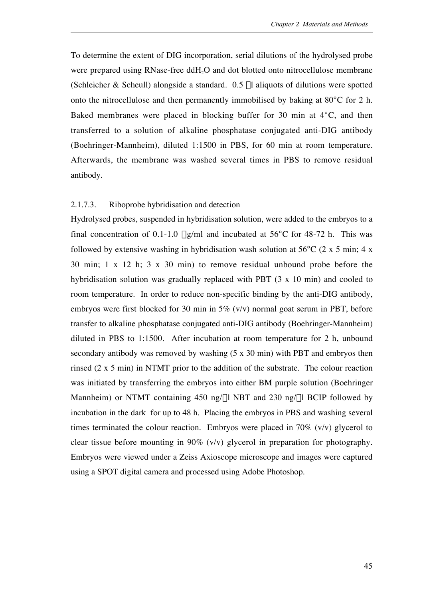To determine the extent of DIG incorporation, serial dilutions of the hydrolysed probe were prepared using RNase-free ddH<sub>2</sub>O and dot blotted onto nitrocellulose membrane (Schleicher & Scheull) alongside a standard.  $0.5$  µl aliquots of dilutions were spotted onto the nitrocellulose and then permanently immobilised by baking at 80 C for 2 h. Baked membranes were placed in blocking buffer for 30 min at 4 C, and then transferred to a solution of alkaline phosphatase conjugated anti-DIG antibody (Boehringer-Mannheim), diluted 1:1500 in PBS, for 60 min at room temperature. Afterwards, the membrane was washed several times in PBS to remove residual antibody.

## 2.1.7.3. Riboprobe hybridisation and detection

Hydrolysed probes, suspended in hybridisation solution, were added to the embryos to a final concentration of  $0.1$ -1.0  $\mu$ g/ml and incubated at 56 C for 48-72 h. This was followed by extensive washing in hybridisation wash solution at 56 C (2 x 5 min; 4 x 30 min; 1 x 12 h; 3 x 30 min) to remove residual unbound probe before the hybridisation solution was gradually replaced with PBT (3 x 10 min) and cooled to room temperature. In order to reduce non-specific binding by the anti-DIG antibody, embryos were first blocked for 30 min in 5% (v/v) normal goat serum in PBT, before transfer to alkaline phosphatase conjugated anti-DIG antibody (Boehringer-Mannheim) diluted in PBS to 1:1500. After incubation at room temperature for 2 h, unbound secondary antibody was removed by washing (5 x 30 min) with PBT and embryos then rinsed (2 x 5 min) in NTMT prior to the addition of the substrate. The colour reaction was initiated by transferring the embryos into either BM purple solution (Boehringer Mannheim) or NTMT containing 450 ng/ $\mu$ l NBT and 230 ng/ $\mu$ l BCIP followed by incubation in the dark for up to 48 h. Placing the embryos in PBS and washing several times terminated the colour reaction. Embryos were placed in 70% (v/v) glycerol to clear tissue before mounting in 90% (v/v) glycerol in preparation for photography. Embryos were viewed under a Zeiss Axioscope microscope and images were captured using a SPOT digital camera and processed using Adobe Photoshop.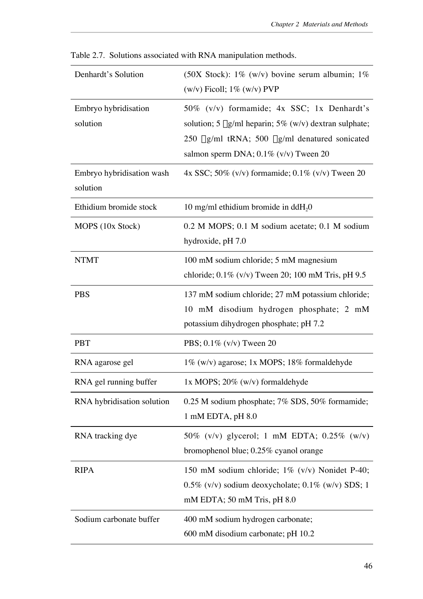| Denhardt's Solution                   | (50X Stock): $1\%$ (w/v) bovine serum albumin; $1\%$<br>$(w/v)$ Ficoll; 1% $(w/v)$ PVP                                                                                                                          |
|---------------------------------------|-----------------------------------------------------------------------------------------------------------------------------------------------------------------------------------------------------------------|
| Embryo hybridisation<br>solution      | 50% (v/v) formamide; 4x SSC; 1x Denhardt's<br>solution; 5 $\mu$ g/ml heparin; 5% (w/v) dextran sulphate;<br>250 $\mu$ g/ml tRNA; 500 $\mu$ g/ml denatured sonicated<br>salmon sperm DNA; $0.1\%$ (v/v) Tween 20 |
| Embryo hybridisation wash<br>solution | 4x SSC; 50% (v/v) formamide; $0.1\%$ (v/v) Tween 20                                                                                                                                                             |
| Ethidium bromide stock                | 10 mg/ml ethidium bromide in ddH <sub>2</sub> 0                                                                                                                                                                 |
| MOPS (10x Stock)                      | 0.2 M MOPS; 0.1 M sodium acetate; 0.1 M sodium<br>hydroxide, pH 7.0                                                                                                                                             |
| <b>NTMT</b>                           | 100 mM sodium chloride; 5 mM magnesium<br>chloride; $0.1\%$ (v/v) Tween 20; 100 mM Tris, pH 9.5                                                                                                                 |
| <b>PBS</b>                            | 137 mM sodium chloride; 27 mM potassium chloride;<br>10 mM disodium hydrogen phosphate; 2 mM<br>potassium dihydrogen phosphate; pH 7.2                                                                          |
| <b>PBT</b>                            | PBS; $0.1\%$ (v/v) Tween 20                                                                                                                                                                                     |
| RNA agarose gel                       | 1% (w/v) agarose; 1x MOPS; 18% formaldehyde                                                                                                                                                                     |
| RNA gel running buffer                | 1x MOPS; $20\%$ (w/v) formaldehyde                                                                                                                                                                              |
| RNA hybridisation solution            | 0.25 M sodium phosphate; 7% SDS, 50% formamide;<br>1 mM EDTA, pH 8.0                                                                                                                                            |
| RNA tracking dye                      | 50% (v/v) glycerol; 1 mM EDTA; $0.25\%$ (w/v)<br>bromophenol blue; 0.25% cyanol orange                                                                                                                          |
| <b>RIPA</b>                           | 150 mM sodium chloride; 1% (v/v) Nonidet P-40;<br>$0.5\%$ (v/v) sodium deoxycholate; $0.1\%$ (w/v) SDS; 1<br>mM EDTA; 50 mM Tris, pH 8.0                                                                        |
| Sodium carbonate buffer               | 400 mM sodium hydrogen carbonate;<br>600 mM disodium carbonate; pH 10.2                                                                                                                                         |

Table 2.7. Solutions associated with RNA manipulation methods.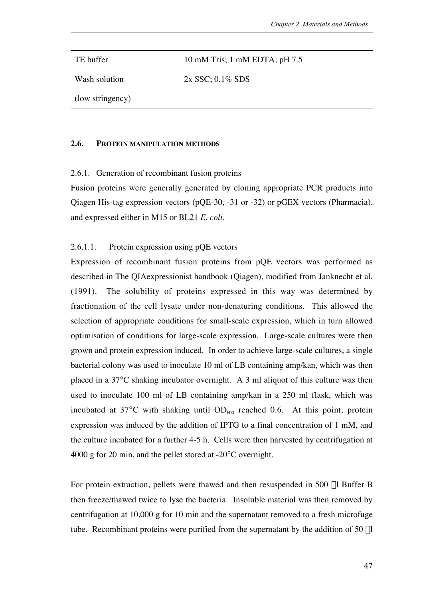TE buffer 10 mM Tris; 1 mM EDTA; pH 7.5 Wash solution (low stringency) 2x SSC; 0.1% SDS

#### **2.6. PROTEIN MANIPULATION METHODS**

## 2.6.1. Generation of recombinant fusion proteins

Fusion proteins were generally generated by cloning appropriate PCR products into Qiagen His-tag expression vectors (pQE-30, -31 or -32) or pGEX vectors (Pharmacia), and expressed either in M15 or BL21 *E. coli*.

# 2.6.1.1. Protein expression using pQE vectors

Expression of recombinant fusion proteins from pQE vectors was performed as described in The QIAexpressionist handbook (Qiagen), modified from Janknecht et al. (1991). The solubility of proteins expressed in this way was determined by fractionation of the cell lysate under non-denaturing conditions. This allowed the selection of appropriate conditions for small-scale expression, which in turn allowed optimisation of conditions for large-scale expression. Large-scale cultures were then grown and protein expression induced. In order to achieve large-scale cultures, a single bacterial colony was used to inoculate 10 ml of LB containing amp/kan, which was then placed in a 37 C shaking incubator overnight. A 3 ml aliquot of this culture was then used to inoculate 100 ml of LB containing amp/kan in a 250 ml flask, which was incubated at 37 C with shaking until  $OD<sub>600</sub>$  reached 0.6. At this point, protein expression was induced by the addition of IPTG to a final concentration of 1 mM, and the culture incubated for a further 4-5 h. Cells were then harvested by centrifugation at 4000 g for 20 min, and the pellet stored at -20 C overnight.

For protein extraction, pellets were thawed and then resuspended in 500 µl Buffer B then freeze/thawed twice to lyse the bacteria. Insoluble material was then removed by centrifugation at 10,000 g for 10 min and the supernatant removed to a fresh microfuge tube. Recombinant proteins were purified from the supernatant by the addition of 50 µl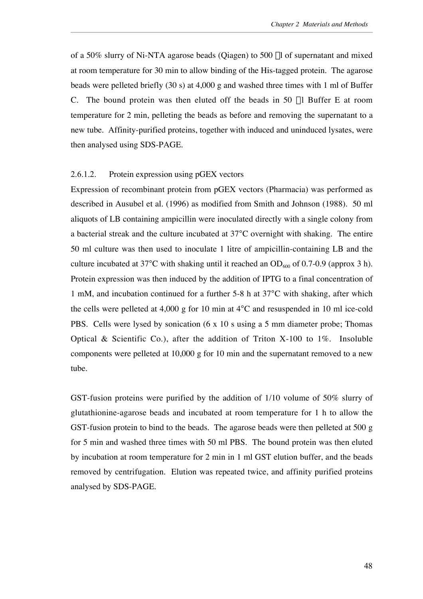of a 50% slurry of Ni-NTA agarose beads (Qiagen) to 500 ml of supernatant and mixed at room temperature for 30 min to allow binding of the His-tagged protein. The agarose beads were pelleted briefly (30 s) at 4,000 g and washed three times with 1 ml of Buffer C. The bound protein was then eluted off the beads in 50 µl Buffer E at room temperature for 2 min, pelleting the beads as before and removing the supernatant to a new tube. Affinity-purified proteins, together with induced and uninduced lysates, were then analysed using SDS-PAGE.

## 2.6.1.2. Protein expression using pGEX vectors

Expression of recombinant protein from pGEX vectors (Pharmacia) was performed as described in Ausubel et al. (1996) as modified from Smith and Johnson (1988). 50 ml aliquots of LB containing ampicillin were inoculated directly with a single colony from a bacterial streak and the culture incubated at 37 C overnight with shaking. The entire 50 ml culture was then used to inoculate 1 litre of ampicillin-containing LB and the culture incubated at 37 C with shaking until it reached an  $OD<sub>600</sub>$  of 0.7-0.9 (approx 3 h). Protein expression was then induced by the addition of IPTG to a final concentration of 1 mM, and incubation continued for a further 5-8 h at 37 C with shaking, after which the cells were pelleted at 4,000 g for 10 min at 4 C and resuspended in 10 ml ice-cold PBS. Cells were lysed by sonication (6 x 10 s using a 5 mm diameter probe; Thomas Optical & Scientific Co.), after the addition of Triton X-100 to 1%. Insoluble components were pelleted at 10,000 g for 10 min and the supernatant removed to a new tube.

GST-fusion proteins were purified by the addition of 1/10 volume of 50% slurry of glutathionine-agarose beads and incubated at room temperature for 1 h to allow the GST-fusion protein to bind to the beads. The agarose beads were then pelleted at 500 g for 5 min and washed three times with 50 ml PBS. The bound protein was then eluted by incubation at room temperature for 2 min in 1 ml GST elution buffer, and the beads removed by centrifugation. Elution was repeated twice, and affinity purified proteins analysed by SDS-PAGE.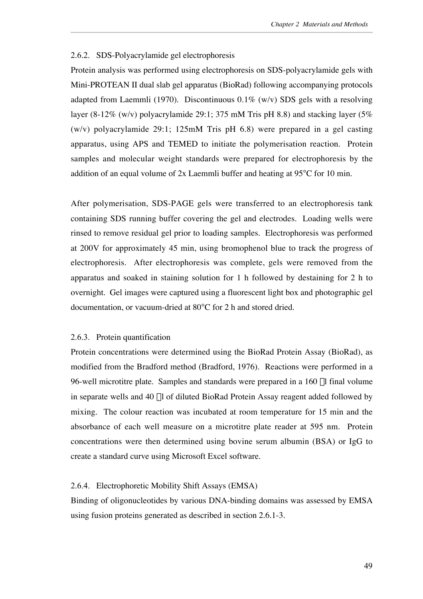## 2.6.2. SDS-Polyacrylamide gel electrophoresis

Protein analysis was performed using electrophoresis on SDS-polyacrylamide gels with Mini-PROTEAN II dual slab gel apparatus (BioRad) following accompanying protocols adapted from Laemmli (1970). Discontinuous 0.1% (w/v) SDS gels with a resolving layer (8-12% (w/v) polyacrylamide 29:1; 375 mM Tris pH 8.8) and stacking layer (5% (w/v) polyacrylamide 29:1; 125mM Tris pH 6.8) were prepared in a gel casting apparatus, using APS and TEMED to initiate the polymerisation reaction. Protein samples and molecular weight standards were prepared for electrophoresis by the addition of an equal volume of 2x Laemmli buffer and heating at 95 C for 10 min.

After polymerisation, SDS-PAGE gels were transferred to an electrophoresis tank containing SDS running buffer covering the gel and electrodes. Loading wells were rinsed to remove residual gel prior to loading samples. Electrophoresis was performed at 200V for approximately 45 min, using bromophenol blue to track the progress of electrophoresis. After electrophoresis was complete, gels were removed from the apparatus and soaked in staining solution for 1 h followed by destaining for 2 h to overnight. Gel images were captured using a fluorescent light box and photographic gel documentation, or vacuum-dried at 80 C for 2 h and stored dried.

## 2.6.3. Protein quantification

Protein concentrations were determined using the BioRad Protein Assay (BioRad), as modified from the Bradford method (Bradford, 1976). Reactions were performed in a 96-well microtitre plate. Samples and standards were prepared in a  $160 \mu$ l final volume in separate wells and 40 µl of diluted BioRad Protein Assay reagent added followed by mixing. The colour reaction was incubated at room temperature for 15 min and the absorbance of each well measure on a microtitre plate reader at 595 nm. Protein concentrations were then determined using bovine serum albumin (BSA) or IgG to create a standard curve using Microsoft Excel software.

## 2.6.4. Electrophoretic Mobility Shift Assays (EMSA)

Binding of oligonucleotides by various DNA-binding domains was assessed by EMSA using fusion proteins generated as described in section 2.6.1-3.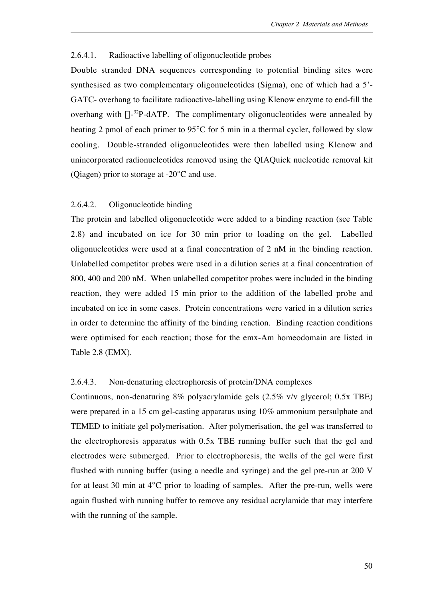## 2.6.4.1. Radioactive labelling of oligonucleotide probes

Double stranded DNA sequences corresponding to potential binding sites were synthesised as two complementary oligonucleotides (Sigma), one of which had a 5'- GATC- overhang to facilitate radioactive-labelling using Klenow enzyme to end-fill the overhang with  $\alpha$ -<sup>32</sup>P-dATP. The complimentary oligonucleotides were annealed by heating 2 pmol of each primer to 95 C for 5 min in a thermal cycler, followed by slow cooling. Double-stranded oligonucleotides were then labelled using Klenow and unincorporated radionucleotides removed using the QIAQuick nucleotide removal kit (Qiagen) prior to storage at -20 C and use.

# 2.6.4.2. Oligonucleotide binding

The protein and labelled oligonucleotide were added to a binding reaction (see Table 2.8) and incubated on ice for 30 min prior to loading on the gel. Labelled oligonucleotides were used at a final concentration of 2 nM in the binding reaction. Unlabelled competitor probes were used in a dilution series at a final concentration of 800, 400 and 200 nM. When unlabelled competitor probes were included in the binding reaction, they were added 15 min prior to the addition of the labelled probe and incubated on ice in some cases. Protein concentrations were varied in a dilution series in order to determine the affinity of the binding reaction. Binding reaction conditions were optimised for each reaction; those for the emx-Am homeodomain are listed in Table 2.8 (EMX).

## 2.6.4.3. Non-denaturing electrophoresis of protein/DNA complexes

Continuous, non-denaturing 8% polyacrylamide gels (2.5% v/v glycerol; 0.5x TBE) were prepared in a 15 cm gel-casting apparatus using 10% ammonium persulphate and TEMED to initiate gel polymerisation. After polymerisation, the gel was transferred to the electrophoresis apparatus with 0.5x TBE running buffer such that the gel and electrodes were submerged. Prior to electrophoresis, the wells of the gel were first flushed with running buffer (using a needle and syringe) and the gel pre-run at 200 V for at least 30 min at 4 C prior to loading of samples. After the pre-run, wells were again flushed with running buffer to remove any residual acrylamide that may interfere with the running of the sample.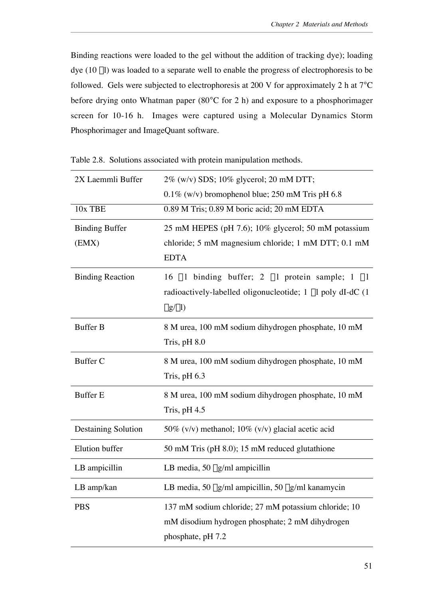Binding reactions were loaded to the gel without the addition of tracking dye); loading dye (10 µl) was loaded to a separate well to enable the progress of electrophoresis to be followed. Gels were subjected to electrophoresis at 200 V for approximately 2 h at 7 C before drying onto Whatman paper (80 C for 2 h) and exposure to a phosphorimager screen for 10-16 h. Images were captured using a Molecular Dynamics Storm Phosphorimager and ImageQuant software.

| 2X Laemmli Buffer              | 2% (w/v) SDS; 10% glycerol; 20 mM DTT;                                                                                              |
|--------------------------------|-------------------------------------------------------------------------------------------------------------------------------------|
|                                | $0.1\%$ (w/v) bromophenol blue; 250 mM Tris pH 6.8                                                                                  |
| 10x TBE                        | 0.89 M Tris; 0.89 M boric acid; 20 mM EDTA                                                                                          |
| <b>Binding Buffer</b><br>(EMX) | 25 mM HEPES (pH 7.6); 10% glycerol; 50 mM potassium<br>chloride; 5 mM magnesium chloride; 1 mM DTT; 0.1 mM<br><b>EDTA</b>           |
| <b>Binding Reaction</b>        | 16 µ1 binding buffer; 2 µ1 protein sample; 1 µ1<br>radioactively-labelled oligonucleotide; 1 µl poly dI-dC (1)<br>$\mu$ g/ $\mu$ l) |
| <b>Buffer B</b>                | 8 M urea, 100 mM sodium dihydrogen phosphate, 10 mM<br>Tris, $pH\$ $8.0$                                                            |
| <b>Buffer C</b>                | 8 M urea, 100 mM sodium dihydrogen phosphate, 10 mM<br>Tris, $pH$ 6.3                                                               |
| <b>Buffer E</b>                | 8 M urea, 100 mM sodium dihydrogen phosphate, 10 mM<br>Tris, $pH$ 4.5                                                               |
| <b>Destaining Solution</b>     | 50% (v/v) methanol; $10\%$ (v/v) glacial acetic acid                                                                                |
| Elution buffer                 | 50 mM Tris (pH 8.0); 15 mM reduced glutathione                                                                                      |
| LB ampicillin                  | LB media, 50 $\mu$ g/ml ampicillin                                                                                                  |
| $LB$ amp/kan                   | LB media, 50 µg/ml ampicillin, 50 µg/ml kanamycin                                                                                   |
| <b>PBS</b>                     | 137 mM sodium chloride; 27 mM potassium chloride; 10<br>mM disodium hydrogen phosphate; 2 mM dihydrogen<br>phosphate, pH 7.2        |

Table 2.8. Solutions associated with protein manipulation methods.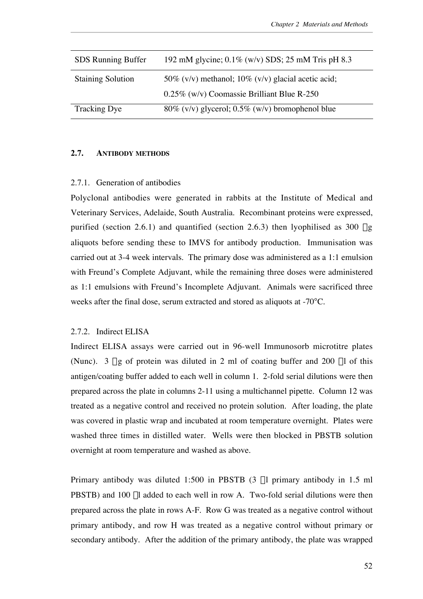| <b>SDS</b> Running Buffer | 192 mM glycine; $0.1\%$ (w/v) SDS; 25 mM Tris pH 8.3       |
|---------------------------|------------------------------------------------------------|
| <b>Staining Solution</b>  | 50% ( $v/v$ ) methanol; 10% ( $v/v$ ) glacial acetic acid; |
|                           | 0.25% (w/v) Coomassie Brilliant Blue R-250                 |
| Tracking Dye              | $80\%$ (v/v) glycerol; 0.5% (w/v) bromophenol blue         |

# **2.7. ANTIBODY METHODS**

# 2.7.1. Generation of antibodies

Polyclonal antibodies were generated in rabbits at the Institute of Medical and Veterinary Services, Adelaide, South Australia. Recombinant proteins were expressed, purified (section 2.6.1) and quantified (section 2.6.3) then lyophilised as 300  $\mu$ g aliquots before sending these to IMVS for antibody production. Immunisation was carried out at 3-4 week intervals. The primary dose was administered as a 1:1 emulsion with Freund's Complete Adjuvant, while the remaining three doses were administered as 1:1 emulsions with Freund's Incomplete Adjuvant. Animals were sacrificed three weeks after the final dose, serum extracted and stored as aliquots at -70 C.

# 2.7.2. Indirect ELISA

Indirect ELISA assays were carried out in 96-well Immunosorb microtitre plates (Nunc). 3  $\mu$ g of protein was diluted in 2 ml of coating buffer and 200  $\mu$ l of this antigen/coating buffer added to each well in column 1. 2-fold serial dilutions were then prepared across the plate in columns 2-11 using a multichannel pipette. Column 12 was treated as a negative control and received no protein solution. After loading, the plate was covered in plastic wrap and incubated at room temperature overnight. Plates were washed three times in distilled water. Wells were then blocked in PBSTB solution overnight at room temperature and washed as above.

Primary antibody was diluted 1:500 in PBSTB (3 µl primary antibody in 1.5 ml PBSTB) and 100 µl added to each well in row A. Two-fold serial dilutions were then prepared across the plate in rows A-F. Row G was treated as a negative control without primary antibody, and row H was treated as a negative control without primary or secondary antibody. After the addition of the primary antibody, the plate was wrapped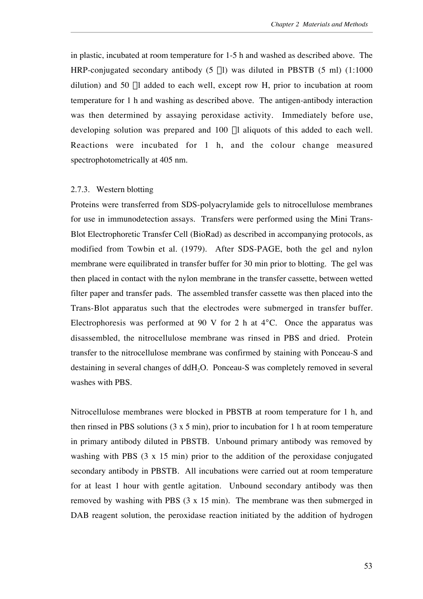in plastic, incubated at room temperature for 1-5 h and washed as described above. The HRP-conjugated secondary antibody  $(5 \mu l)$  was diluted in PBSTB  $(5 \mu l)$   $(1:1000 \mu l)$ dilution) and 50 µl added to each well, except row H, prior to incubation at room temperature for 1 h and washing as described above. The antigen-antibody interaction was then determined by assaying peroxidase activity. Immediately before use, developing solution was prepared and 100 µl aliquots of this added to each well. Reactions were incubated for 1 h, and the colour change measured spectrophotometrically at 405 nm.

## 2.7.3. Western blotting

Proteins were transferred from SDS-polyacrylamide gels to nitrocellulose membranes for use in immunodetection assays. Transfers were performed using the Mini Trans-Blot Electrophoretic Transfer Cell (BioRad) as described in accompanying protocols, as modified from Towbin et al. (1979). After SDS-PAGE, both the gel and nylon membrane were equilibrated in transfer buffer for 30 min prior to blotting. The gel was then placed in contact with the nylon membrane in the transfer cassette, between wetted filter paper and transfer pads. The assembled transfer cassette was then placed into the Trans-Blot apparatus such that the electrodes were submerged in transfer buffer. Electrophoresis was performed at 90 V for 2 h at 4 C. Once the apparatus was disassembled, the nitrocellulose membrane was rinsed in PBS and dried. Protein transfer to the nitrocellulose membrane was confirmed by staining with Ponceau-S and destaining in several changes of ddH<sub>2</sub>O. Ponceau-S was completely removed in several washes with PBS.

Nitrocellulose membranes were blocked in PBSTB at room temperature for 1 h, and then rinsed in PBS solutions  $(3 \times 5 \text{ min})$ , prior to incubation for 1 h at room temperature in primary antibody diluted in PBSTB. Unbound primary antibody was removed by washing with PBS (3 x 15 min) prior to the addition of the peroxidase conjugated secondary antibody in PBSTB. All incubations were carried out at room temperature for at least 1 hour with gentle agitation. Unbound secondary antibody was then removed by washing with PBS (3 x 15 min). The membrane was then submerged in DAB reagent solution, the peroxidase reaction initiated by the addition of hydrogen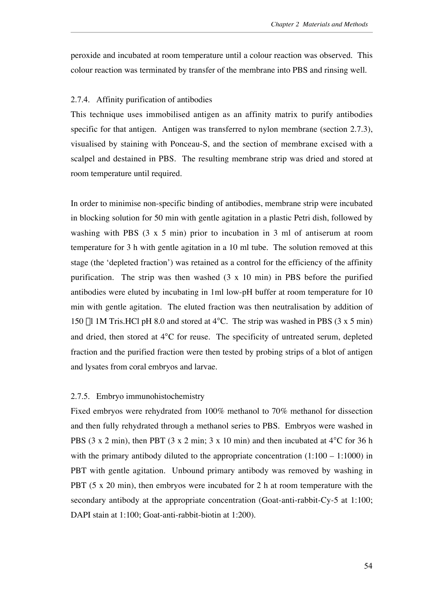peroxide and incubated at room temperature until a colour reaction was observed. This colour reaction was terminated by transfer of the membrane into PBS and rinsing well.

#### 2.7.4. Affinity purification of antibodies

This technique uses immobilised antigen as an affinity matrix to purify antibodies specific for that antigen. Antigen was transferred to nylon membrane (section 2.7.3), visualised by staining with Ponceau-S, and the section of membrane excised with a scalpel and destained in PBS. The resulting membrane strip was dried and stored at room temperature until required.

In order to minimise non-specific binding of antibodies, membrane strip were incubated in blocking solution for 50 min with gentle agitation in a plastic Petri dish, followed by washing with PBS (3 x 5 min) prior to incubation in 3 ml of antiserum at room temperature for 3 h with gentle agitation in a 10 ml tube. The solution removed at this stage (the 'depleted fraction') was retained as a control for the efficiency of the affinity purification. The strip was then washed (3 x 10 min) in PBS before the purified antibodies were eluted by incubating in 1ml low-pH buffer at room temperature for 10 min with gentle agitation. The eluted fraction was then neutralisation by addition of 150 ml 1M Tris.HCl pH 8.0 and stored at 4 C. The strip was washed in PBS (3 x 5 min) and dried, then stored at 4 C for reuse. The specificity of untreated serum, depleted fraction and the purified fraction were then tested by probing strips of a blot of antigen and lysates from coral embryos and larvae.

## 2.7.5. Embryo immunohistochemistry

Fixed embryos were rehydrated from 100% methanol to 70% methanol for dissection and then fully rehydrated through a methanol series to PBS. Embryos were washed in PBS (3 x 2 min), then PBT (3 x 2 min; 3 x 10 min) and then incubated at 4 C for 36 h with the primary antibody diluted to the appropriate concentration  $(1:100 - 1:1000)$  in PBT with gentle agitation. Unbound primary antibody was removed by washing in PBT (5 x 20 min), then embryos were incubated for 2 h at room temperature with the secondary antibody at the appropriate concentration (Goat-anti-rabbit-Cy-5 at 1:100; DAPI stain at 1:100; Goat-anti-rabbit-biotin at 1:200).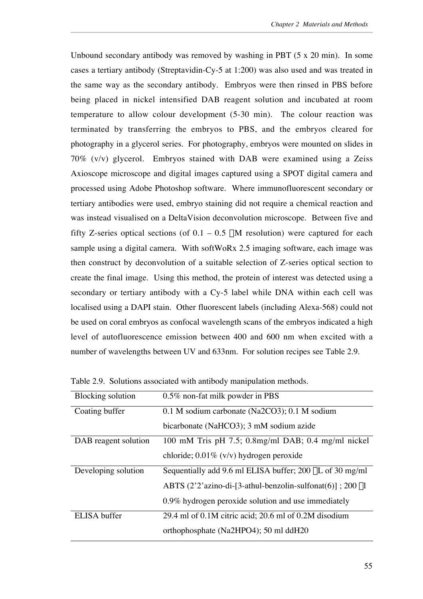Unbound secondary antibody was removed by washing in PBT (5 x 20 min). In some cases a tertiary antibody (Streptavidin-Cy-5 at 1:200) was also used and was treated in the same way as the secondary antibody. Embryos were then rinsed in PBS before being placed in nickel intensified DAB reagent solution and incubated at room temperature to allow colour development (5-30 min). The colour reaction was terminated by transferring the embryos to PBS, and the embryos cleared for photography in a glycerol series. For photography, embryos were mounted on slides in 70% (v/v) glycerol. Embryos stained with DAB were examined using a Zeiss Axioscope microscope and digital images captured using a SPOT digital camera and processed using Adobe Photoshop software. Where immunofluorescent secondary or tertiary antibodies were used, embryo staining did not require a chemical reaction and was instead visualised on a DeltaVision deconvolution microscope. Between five and fifty Z-series optical sections (of  $0.1 - 0.5$   $\mu$ M resolution) were captured for each sample using a digital camera. With softWoRx 2.5 imaging software, each image was then construct by deconvolution of a suitable selection of Z-series optical section to create the final image. Using this method, the protein of interest was detected using a secondary or tertiary antibody with a Cy-5 label while DNA within each cell was localised using a DAPI stain. Other fluorescent labels (including Alexa-568) could not be used on coral embryos as confocal wavelength scans of the embryos indicated a high level of autofluorescence emission between 400 and 600 nm when excited with a number of wavelengths between UV and 633nm. For solution recipes see Table 2.9.

| <b>Blocking solution</b> | 0.5% non-fat milk powder in PBS                               |
|--------------------------|---------------------------------------------------------------|
| Coating buffer           | 0.1 M sodium carbonate (Na2CO3); 0.1 M sodium                 |
|                          | bicarbonate (NaHCO3); 3 mM sodium azide                       |
| DAB reagent solution     | 100 mM Tris pH 7.5; 0.8mg/ml DAB; 0.4 mg/ml nickel            |
|                          | chloride; $0.01\%$ (v/v) hydrogen peroxide                    |
| Developing solution      | Sequentially add 9.6 ml ELISA buffer; $200 \mu L$ of 30 mg/ml |
|                          | ABTS $(2'2'$ azino-di-[3-athul-benzolin-sulfonat(6)]; 200 µl  |
|                          | 0.9% hydrogen peroxide solution and use immediately           |
| ELISA buffer             | 29.4 ml of 0.1M citric acid; 20.6 ml of 0.2M disodium         |
|                          | orthophosphate (Na2HPO4); 50 ml ddH20                         |

Table 2.9. Solutions associated with antibody manipulation methods.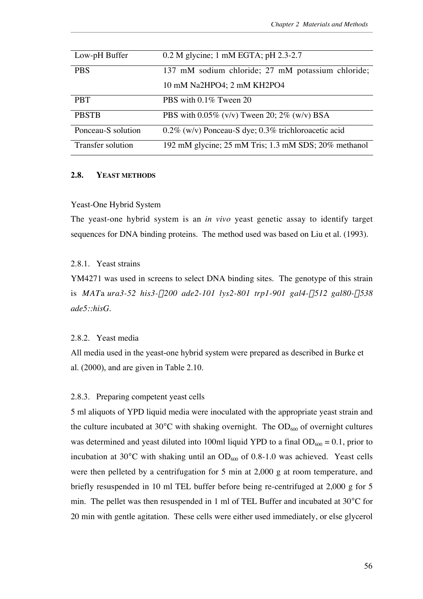| Low-pH Buffer      | $0.2$ M glycine; 1 mM EGTA; pH 2.3-2.7                 |
|--------------------|--------------------------------------------------------|
| <b>PBS</b>         | 137 mM sodium chloride; 27 mM potassium chloride;      |
|                    | 10 mM Na2HPO4; 2 mM KH2PO4                             |
| <b>PBT</b>         | PBS with 0.1% Tween 20                                 |
| <b>PBSTB</b>       | PBS with $0.05\%$ (v/v) Tween 20; 2% (w/v) BSA         |
| Ponceau-S solution | $0.2\%$ (w/v) Ponceau-S dye; 0.3% trichloroacetic acid |
| Transfer solution  | 192 mM glycine; 25 mM Tris; 1.3 mM SDS; 20% methanol   |

# **2.8. YEAST METHODS**

## Yeast-One Hybrid System

The yeast-one hybrid system is an *in vivo* yeast genetic assay to identify target sequences for DNA binding proteins. The method used was based on Liu et al. (1993).

# 2.8.1 Yeast strains

YM4271 was used in screens to select DNA binding sites. The genotype of this strain is *MAT*a *ura3-52 his3-*D*200 ade2-101 lys2-801 trp1-901 gal4-*D*512 gal80-*D*538 ade5::hisG.*

## 2.8.2. Yeast media

All media used in the yeast-one hybrid system were prepared as described in Burke et al. (2000), and are given in Table 2.10.

## 2.8.3. Preparing competent yeast cells

5 ml aliquots of YPD liquid media were inoculated with the appropriate yeast strain and the culture incubated at 30 C with shaking overnight. The  $OD<sub>600</sub>$  of overnight cultures was determined and yeast diluted into 100ml liquid YPD to a final  $OD<sub>600</sub> = 0.1$ , prior to incubation at 30 C with shaking until an  $OD<sub>600</sub>$  of 0.8-1.0 was achieved. Yeast cells were then pelleted by a centrifugation for 5 min at 2,000 g at room temperature, and briefly resuspended in 10 ml TEL buffer before being re-centrifuged at 2,000 g for 5 min. The pellet was then resuspended in 1 ml of TEL Buffer and incubated at 30 C for 20 min with gentle agitation. These cells were either used immediately, or else glycerol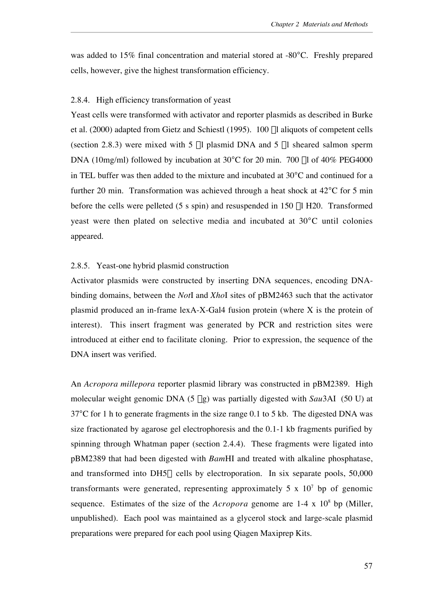was added to 15% final concentration and material stored at -80 C. Freshly prepared cells, however, give the highest transformation efficiency.

# 2.8.4. High efficiency transformation of yeast

Yeast cells were transformed with activator and reporter plasmids as described in Burke et al. (2000) adapted from Gietz and Schiestl (1995). 100 ml aliquots of competent cells (section 2.8.3) were mixed with 5  $\mu$ l plasmid DNA and 5  $\mu$ l sheared salmon sperm DNA (10mg/ml) followed by incubation at 30 C for 20 min. 700  $\mu$ l of 40% PEG4000 in TEL buffer was then added to the mixture and incubated at 30 C and continued for a further 20 min. Transformation was achieved through a heat shock at 42 C for 5 min before the cells were pelleted (5 s spin) and resuspended in 150 µl H20. Transformed yeast were then plated on selective media and incubated at 30 C until colonies appeared.

## 2.8.5. Yeast-one hybrid plasmid construction

Activator plasmids were constructed by inserting DNA sequences, encoding DNAbinding domains, between the *Not*I and *Xho*I sites of pBM2463 such that the activator plasmid produced an in-frame lexA-X-Gal4 fusion protein (where X is the protein of interest). This insert fragment was generated by PCR and restriction sites were introduced at either end to facilitate cloning. Prior to expression, the sequence of the DNA insert was verified.

An *Acropora millepora* reporter plasmid library was constructed in pBM2389. High molecular weight genomic DNA (5 mg) was partially digested with *Sau*3AI (50 U) at 37 C for 1 h to generate fragments in the size range 0.1 to 5 kb. The digested DNA was size fractionated by agarose gel electrophoresis and the 0.1-1 kb fragments purified by spinning through Whatman paper (section 2.4.4). These fragments were ligated into pBM2389 that had been digested with *Bam*HI and treated with alkaline phosphatase, and transformed into DH5 $\alpha$  cells by electroporation. In six separate pools, 50,000 transformants were generated, representing approximately 5 x  $10<sup>7</sup>$  bp of genomic sequence. Estimates of the size of the  $Acropora$  genome are  $1-4 \times 10^8$  bp (Miller, unpublished). Each pool was maintained as a glycerol stock and large-scale plasmid preparations were prepared for each pool using Qiagen Maxiprep Kits.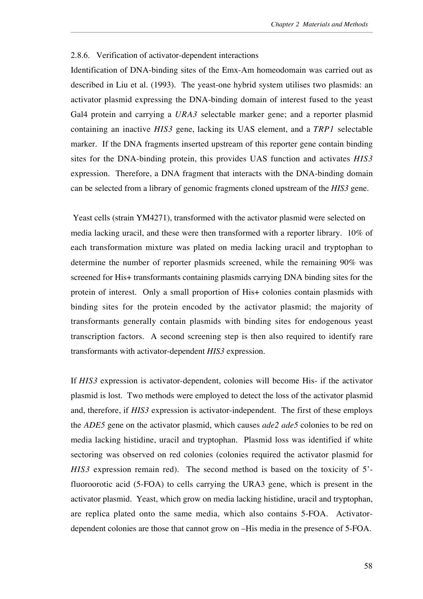## 2.8.6. Verification of activator-dependent interactions

Identification of DNA-binding sites of the Emx-Am homeodomain was carried out as described in Liu et al. (1993). The yeast-one hybrid system utilises two plasmids: an activator plasmid expressing the DNA-binding domain of interest fused to the yeast Gal4 protein and carrying a *URA3* selectable marker gene; and a reporter plasmid containing an inactive *HIS3* gene, lacking its UAS element, and a *TRP1* selectable marker. If the DNA fragments inserted upstream of this reporter gene contain binding sites for the DNA-binding protein, this provides UAS function and activates *HIS3* expression. Therefore, a DNA fragment that interacts with the DNA-binding domain can be selected from a library of genomic fragments cloned upstream of the *HIS3* gene.

 Yeast cells (strain YM4271), transformed with the activator plasmid were selected on media lacking uracil, and these were then transformed with a reporter library. 10% of each transformation mixture was plated on media lacking uracil and tryptophan to determine the number of reporter plasmids screened, while the remaining 90% was screened for His+ transformants containing plasmids carrying DNA binding sites for the protein of interest. Only a small proportion of His+ colonies contain plasmids with binding sites for the protein encoded by the activator plasmid; the majority of transformants generally contain plasmids with binding sites for endogenous yeast transcription factors. A second screening step is then also required to identify rare transformants with activator-dependent *HIS3* expression.

If *HIS3* expression is activator-dependent, colonies will become His- if the activator plasmid is lost. Two methods were employed to detect the loss of the activator plasmid and, therefore, if *HIS3* expression is activator-independent. The first of these employs the *ADE5* gene on the activator plasmid, which causes *ade2 ade5* colonies to be red on media lacking histidine, uracil and tryptophan. Plasmid loss was identified if white sectoring was observed on red colonies (colonies required the activator plasmid for *HIS3* expression remain red). The second method is based on the toxicity of 5' fluoroorotic acid (5-FOA) to cells carrying the URA3 gene, which is present in the activator plasmid. Yeast, which grow on media lacking histidine, uracil and tryptophan, are replica plated onto the same media, which also contains 5-FOA. Activatordependent colonies are those that cannot grow on –His media in the presence of 5-FOA.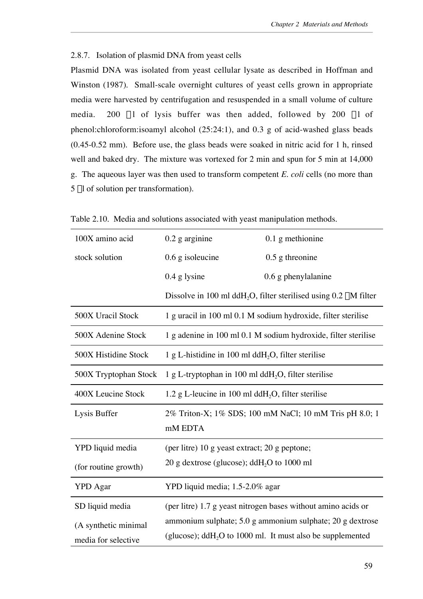# 2.8.7. Isolation of plasmid DNA from yeast cells

Plasmid DNA was isolated from yeast cellular lysate as described in Hoffman and Winston (1987). Small-scale overnight cultures of yeast cells grown in appropriate media were harvested by centrifugation and resuspended in a small volume of culture media. 200  $\mu$ 1 of lysis buffer was then added, followed by 200  $\mu$ 1 of phenol:chloroform:isoamyl alcohol (25:24:1), and 0.3 g of acid-washed glass beads (0.45-0.52 mm). Before use, the glass beads were soaked in nitric acid for 1 h, rinsed well and baked dry. The mixture was vortexed for 2 min and spun for 5 min at 14,000 g. The aqueous layer was then used to transform competent *E. coli* cells (no more than  $5 \mu l$  of solution per transformation).

| 100X amino acid       | $0.2$ g arginine                                                       | $0.1$ g methionine                                                                |
|-----------------------|------------------------------------------------------------------------|-----------------------------------------------------------------------------------|
| stock solution        | $0.6$ g isoleucine                                                     | $0.5$ g threonine                                                                 |
|                       | $0.4$ g lysine                                                         | $0.6$ g phenylalanine                                                             |
|                       |                                                                        | Dissolve in 100 ml ddH <sub>2</sub> O, filter sterilised using $0.2 \mu M$ filter |
| 500X Uracil Stock     | 1 g uracil in 100 ml 0.1 M sodium hydroxide, filter sterilise          |                                                                                   |
| 500X Adenine Stock    | 1 g adenine in 100 ml 0.1 M sodium hydroxide, filter sterilise         |                                                                                   |
| 500X Histidine Stock  | 1 g L-histidine in 100 ml dd $H_2O$ , filter sterilise                 |                                                                                   |
| 500X Tryptophan Stock | 1 g L-tryptophan in 100 ml dd $H_2O$ , filter sterilise                |                                                                                   |
| 400X Leucine Stock    | 1.2 g L-leucine in 100 ml dd $H_2O$ , filter sterilise                 |                                                                                   |
| Lysis Buffer          | 2% Triton-X; 1% SDS; 100 mM NaCl; 10 mM Tris pH 8.0; 1                 |                                                                                   |
|                       | mM EDTA                                                                |                                                                                   |
| YPD liquid media      | (per litre) 10 g yeast extract; 20 g peptone;                          |                                                                                   |
| (for routine growth)  | 20 g dextrose (glucose); ddH <sub>2</sub> O to 1000 ml                 |                                                                                   |
| <b>YPD</b> Agar       | YPD liquid media; 1.5-2.0% agar                                        |                                                                                   |
| SD liquid media       |                                                                        | (per litre) 1.7 g yeast nitrogen bases without amino acids or                     |
| (A synthetic minimal  | ammonium sulphate; 5.0 g ammonium sulphate; 20 g dextrose              |                                                                                   |
| media for selective   | (glucose); ddH <sub>2</sub> O to 1000 ml. It must also be supplemented |                                                                                   |

Table 2.10. Media and solutions associated with yeast manipulation methods.